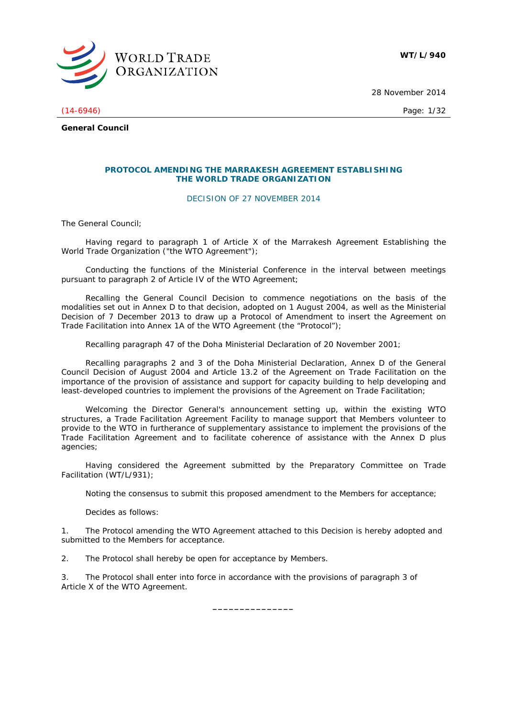

28 November 2014

(14-6946) Page: 1/32

**General Council** 

# **PROTOCOL AMENDING THE MARRAKESH AGREEMENT ESTABLISHING THE WORLD TRADE ORGANIZATION**

## DECISION OF 27 NOVEMBER 2014

The General Council;

 *Having regard* to paragraph 1 of Article X of the Marrakesh Agreement Establishing the World Trade Organization ("the WTO Agreement");

 *Conducting* the functions of the Ministerial Conference in the interval between meetings pursuant to paragraph 2 of Article IV of the WTO Agreement;

*Recalling* the General Council Decision to commence negotiations on the basis of the modalities set out in Annex D to that decision, adopted on 1 August 2004, as well as the Ministerial Decision of 7 December 2013 to draw up a Protocol of Amendment to insert the Agreement on Trade Facilitation into Annex 1A of the WTO Agreement (the "Protocol");

*Recalling* paragraph 47 of the Doha Ministerial Declaration of 20 November 2001;

*Recalling* paragraphs 2 and 3 of the Doha Ministerial Declaration, Annex D of the General Council Decision of August 2004 and Article 13.2 of the Agreement on Trade Facilitation on the importance of the provision of assistance and support for capacity building to help developing and least-developed countries to implement the provisions of the Agreement on Trade Facilitation;

*Welcoming* the Director General's announcement setting up, within the existing WTO structures, a Trade Facilitation Agreement Facility to manage support that Members volunteer to provide to the WTO in furtherance of supplementary assistance to implement the provisions of the Trade Facilitation Agreement and to facilitate coherence of assistance with the Annex D plus agencies;

*Having* considered the Agreement submitted by the Preparatory Committee on Trade Facilitation (WT/L/931);

*Noting* the consensus to submit this proposed amendment to the Members for acceptance;

 *Decides* as follows:

1. The Protocol amending the WTO Agreement attached to this Decision is hereby adopted and submitted to the Members for acceptance.

**\_\_\_\_\_\_\_\_\_\_\_\_\_\_\_** 

2. The Protocol shall hereby be open for acceptance by Members.

3. The Protocol shall enter into force in accordance with the provisions of paragraph 3 of Article X of the WTO Agreement.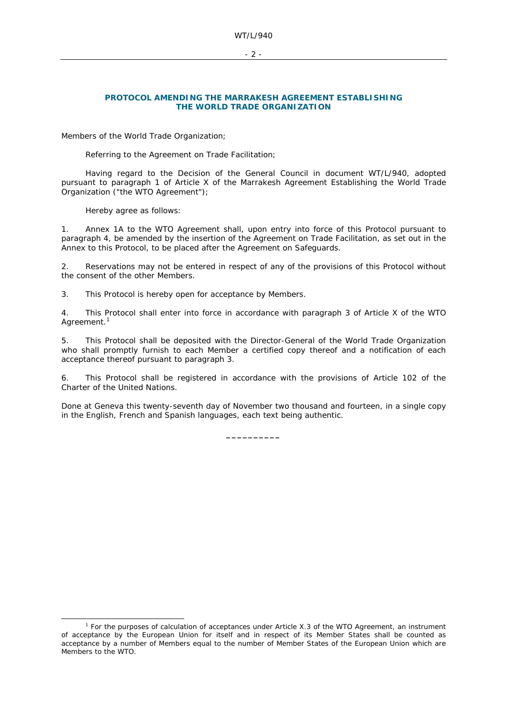# **PROTOCOL AMENDING THE MARRAKESH AGREEMENT ESTABLISHING THE WORLD TRADE ORGANIZATION**

Members of the World Trade Organization;

*Referring* to the Agreement on Trade Facilitation*;* 

*Having regard* to the Decision of the General Council in document WT/L/940, adopted pursuant to paragraph 1 of Article X of the Marrakesh Agreement Establishing the World Trade Organization ("the WTO Agreement");

*Hereby agree* as follows*:* 

1. Annex 1A to the WTO Agreement shall, upon entry into force of this Protocol pursuant to paragraph 4, be amended by the insertion of the Agreement on Trade Facilitation, as set out in the Annex to this Protocol, to be placed after the Agreement on Safeguards.

2. Reservations may not be entered in respect of any of the provisions of this Protocol without the consent of the other Members.

3. This Protocol is hereby open for acceptance by Members.

4. This Protocol shall enter into force in accordance with paragraph 3 of Article X of the WTO Agreement.<sup>1</sup>

5. This Protocol shall be deposited with the Director-General of the World Trade Organization who shall promptly furnish to each Member a certified copy thereof and a notification of each acceptance thereof pursuant to paragraph 3.

6. This Protocol shall be registered in accordance with the provisions of Article 102 of the Charter of the United Nations.

*Done* at Geneva this twenty-seventh day of November two thousand and fourteen, in a single copy in the English, French and Spanish languages, each text being authentic.

**\_\_\_\_\_\_\_\_\_\_** 

 $\frac{1}{1}$  $<sup>1</sup>$  For the purposes of calculation of acceptances under Article X.3 of the WTO Agreement, an instrument</sup> of acceptance by the European Union for itself and in respect of its Member States shall be counted as acceptance by a number of Members equal to the number of Member States of the European Union which are Members to the WTO.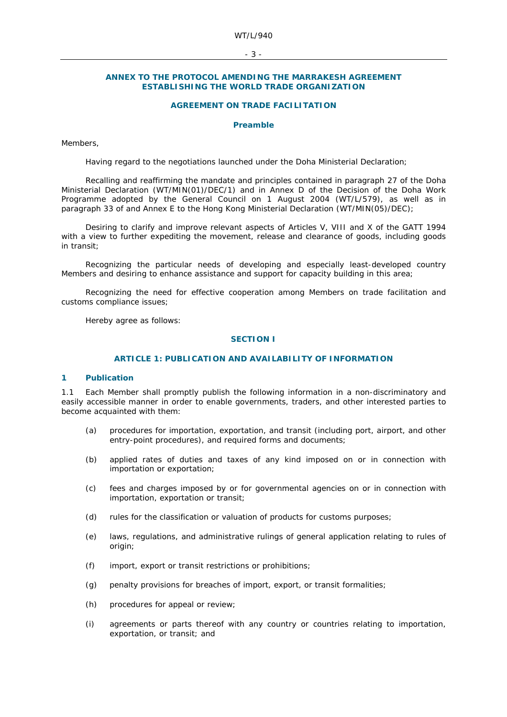#### - 3 -

#### **ANNEX TO THE PROTOCOL AMENDING THE MARRAKESH AGREEMENT ESTABLISHING THE WORLD TRADE ORGANIZATION**

#### **AGREEMENT ON TRADE FACILITATION**

#### **Preamble**

## *Members,*

*Having regard to* the negotiations launched under the Doha Ministerial Declaration;

*Recalling and reaffirming* the mandate and principles contained in paragraph 27 of the Doha Ministerial Declaration (WT/MIN(01)/DEC/1) and in Annex D of the Decision of the Doha Work Programme adopted by the General Council on 1 August 2004 (WT/L/579), as well as in paragraph 33 of and Annex E to the Hong Kong Ministerial Declaration (WT/MIN(05)/DEC);

 *Desiring to* clarify and improve relevant aspects of Articles V, VIII and X of the GATT 1994 with a view to further expediting the movement, release and clearance of goods, including goods in transit;

*Recognizing* the particular needs of developing and especially least-developed country Members and desiring to enhance assistance and support for capacity building in this area;

*Recognizing* the need for effective cooperation among Members on trade facilitation and customs compliance issues;

Hereby *agree* as follows:

#### **SECTION I**

#### **ARTICLE 1: PUBLICATION AND AVAILABILITY OF INFORMATION**

#### **1 Publication**

1.1 Each Member shall promptly publish the following information in a non-discriminatory and easily accessible manner in order to enable governments, traders, and other interested parties to become acquainted with them:

- (a) procedures for importation, exportation, and transit (including port, airport, and other entry-point procedures), and required forms and documents;
- (b) applied rates of duties and taxes of any kind imposed on or in connection with importation or exportation;
- (c) fees and charges imposed by or for governmental agencies on or in connection with importation, exportation or transit;
- (d) rules for the classification or valuation of products for customs purposes;
- (e) laws, regulations, and administrative rulings of general application relating to rules of origin;
- (f) import, export or transit restrictions or prohibitions;
- (g) penalty provisions for breaches of import, export, or transit formalities;
- (h) procedures for appeal or review;
- (i) agreements or parts thereof with any country or countries relating to importation, exportation, or transit; and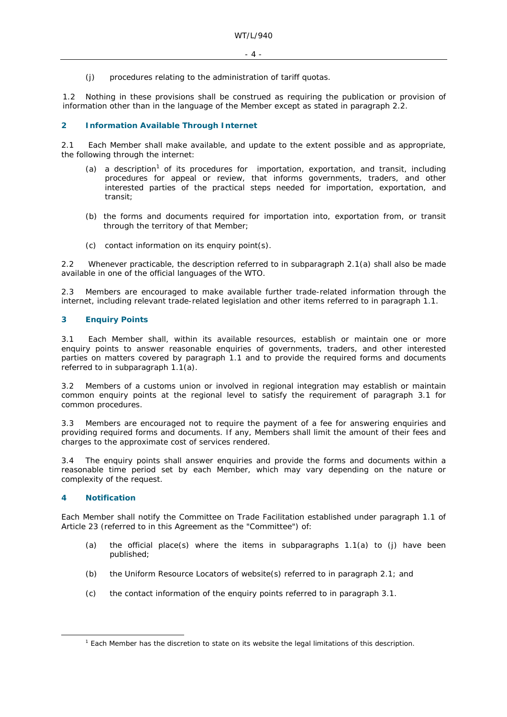(j) procedures relating to the administration of tariff quotas.

1.2 Nothing in these provisions shall be construed as requiring the publication or provision of information other than in the language of the Member except as stated in paragraph 2.2.

# **2 Information Available Through Internet**

2.1 Each Member shall make available, and update to the extent possible and as appropriate, the following through the internet:

- (a) a description<sup>1</sup> of its procedures for importation, exportation, and transit, including procedures for appeal or review, that informs governments, traders, and other interested parties of the practical steps needed for importation, exportation, and transit;
- (b) the forms and documents required for importation into, exportation from, or transit through the territory of that Member;
- (c) contact information on its enquiry point(s).

2.2 Whenever practicable, the description referred to in subparagraph 2.1(a) shall also be made available in one of the official languages of the WTO.

2.3 Members are encouraged to make available further trade-related information through the internet, including relevant trade-related legislation and other items referred to in paragraph 1.1.

# **3 Enquiry Points**

3.1 Each Member shall, within its available resources, establish or maintain one or more enquiry points to answer reasonable enquiries of governments, traders, and other interested parties on matters covered by paragraph 1.1 and to provide the required forms and documents referred to in subparagraph 1.1(a).

3.2 Members of a customs union or involved in regional integration may establish or maintain common enquiry points at the regional level to satisfy the requirement of paragraph 3.1 for common procedures.

Members are encouraged not to require the payment of a fee for answering enquiries and providing required forms and documents. If any, Members shall limit the amount of their fees and charges to the approximate cost of services rendered.

3.4 The enquiry points shall answer enquiries and provide the forms and documents within a reasonable time period set by each Member, which may vary depending on the nature or complexity of the request.

# **4 Notification**

Each Member shall notify the Committee on Trade Facilitation established under paragraph 1.1 of Article 23 (referred to in this Agreement as the "Committee") of:

- (a) the official place(s) where the items in subparagraphs  $1.1(a)$  to (j) have been published;
- (b) the Uniform Resource Locators of website(s) referred to in paragraph 2.1; and
- (c) the contact information of the enquiry points referred to in paragraph 3.1.

 $\frac{1}{1}$ <sup>1</sup> Each Member has the discretion to state on its website the legal limitations of this description.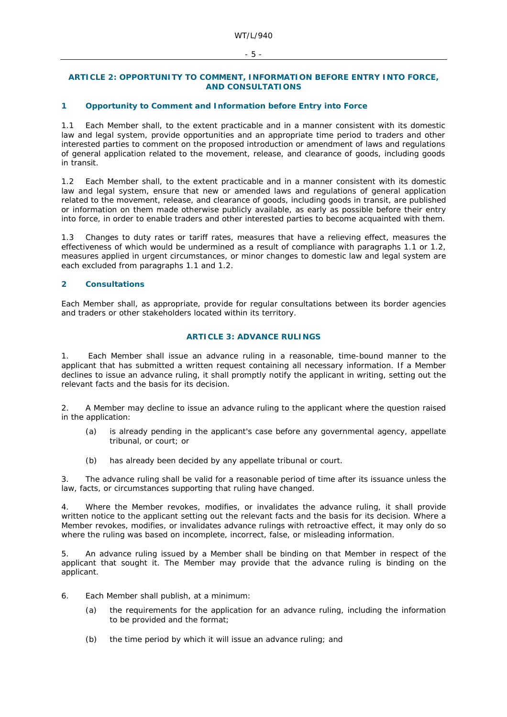#### - 5 -

## **ARTICLE 2: OPPORTUNITY TO COMMENT, INFORMATION BEFORE ENTRY INTO FORCE, AND CONSULTATIONS**

# **1 Opportunity to Comment and Information before Entry into Force**

1.1 Each Member shall, to the extent practicable and in a manner consistent with its domestic law and legal system, provide opportunities and an appropriate time period to traders and other interested parties to comment on the proposed introduction or amendment of laws and regulations of general application related to the movement, release, and clearance of goods, including goods in transit.

1.2 Each Member shall, to the extent practicable and in a manner consistent with its domestic law and legal system, ensure that new or amended laws and regulations of general application related to the movement, release, and clearance of goods, including goods in transit, are published or information on them made otherwise publicly available, as early as possible before their entry into force, in order to enable traders and other interested parties to become acquainted with them.

1.3 Changes to duty rates or tariff rates, measures that have a relieving effect, measures the effectiveness of which would be undermined as a result of compliance with paragraphs 1.1 or 1.2, measures applied in urgent circumstances, or minor changes to domestic law and legal system are each excluded from paragraphs 1.1 and 1.2.

# **2 Consultations**

Each Member shall, as appropriate, provide for regular consultations between its border agencies and traders or other stakeholders located within its territory.

# **ARTICLE 3: ADVANCE RULINGS**

1. Each Member shall issue an advance ruling in a reasonable, time-bound manner to the applicant that has submitted a written request containing all necessary information. If a Member declines to issue an advance ruling, it shall promptly notify the applicant in writing, setting out the relevant facts and the basis for its decision.

2. A Member may decline to issue an advance ruling to the applicant where the question raised in the application:

- (a) is already pending in the applicant's case before any governmental agency, appellate tribunal, or court; or
- (b) has already been decided by any appellate tribunal or court.

3. The advance ruling shall be valid for a reasonable period of time after its issuance unless the law, facts, or circumstances supporting that ruling have changed.

4. Where the Member revokes, modifies, or invalidates the advance ruling, it shall provide written notice to the applicant setting out the relevant facts and the basis for its decision. Where a Member revokes, modifies, or invalidates advance rulings with retroactive effect, it may only do so where the ruling was based on incomplete, incorrect, false, or misleading information.

5. An advance ruling issued by a Member shall be binding on that Member in respect of the applicant that sought it. The Member may provide that the advance ruling is binding on the applicant.

- 6. Each Member shall publish, at a minimum:
	- (a) the requirements for the application for an advance ruling, including the information to be provided and the format;
	- (b) the time period by which it will issue an advance ruling; and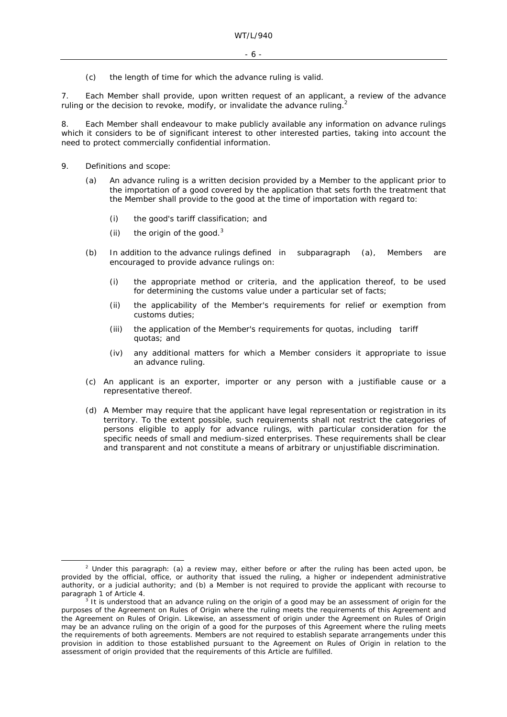(c) the length of time for which the advance ruling is valid.

7. Each Member shall provide, upon written request of an applicant, a review of the advance ruling or the decision to revoke, modify, or invalidate the advance ruling.2

8. Each Member shall endeavour to make publicly available any information on advance rulings which it considers to be of significant interest to other interested parties, taking into account the need to protect commercially confidential information.

- 9. Definitions and scope:
	- (a) An advance ruling is a written decision provided by a Member to the applicant prior to the importation of a good covered by the application that sets forth the treatment that the Member shall provide to the good at the time of importation with regard to:
		- (i) the good's tariff classification; and
		- (ii) the origin of the good. $3$
	- (b) In addition to the advance rulings defined in subparagraph (a), Members are encouraged to provide advance rulings on:
		- (i) the appropriate method or criteria, and the application thereof, to be used for determining the customs value under a particular set of facts;
		- (ii) the applicability of the Member's requirements for relief or exemption from customs duties;
		- (iii) the application of the Member's requirements for quotas, including tariff quotas; and
		- (iv) any additional matters for which a Member considers it appropriate to issue an advance ruling.
	- (c) An applicant is an exporter, importer or any person with a justifiable cause or a representative thereof.
	- (d) A Member may require that the applicant have legal representation or registration in its territory. To the extent possible, such requirements shall not restrict the categories of persons eligible to apply for advance rulings, with particular consideration for the specific needs of small and medium-sized enterprises. These requirements shall be clear and transparent and not constitute a means of arbitrary or unjustifiable discrimination.

 $2$  Under this paragraph: (a) a review may, either before or after the ruling has been acted upon, be provided by the official, office, or authority that issued the ruling, a higher or independent administrative authority, or a judicial authority; and (b) a Member is not required to provide the applicant with recourse to paragraph 1 of Article 4.

<sup>3</sup> It is understood that an advance ruling on the origin of a good may be an assessment of origin for the purposes of the Agreement on Rules of Origin where the ruling meets the requirements of this Agreement and the Agreement on Rules of Origin. Likewise, an assessment of origin under the Agreement on Rules of Origin may be an advance ruling on the origin of a good for the purposes of this Agreement where the ruling meets the requirements of both agreements. Members are not required to establish separate arrangements under this provision in addition to those established pursuant to the Agreement on Rules of Origin in relation to the assessment of origin provided that the requirements of this Article are fulfilled.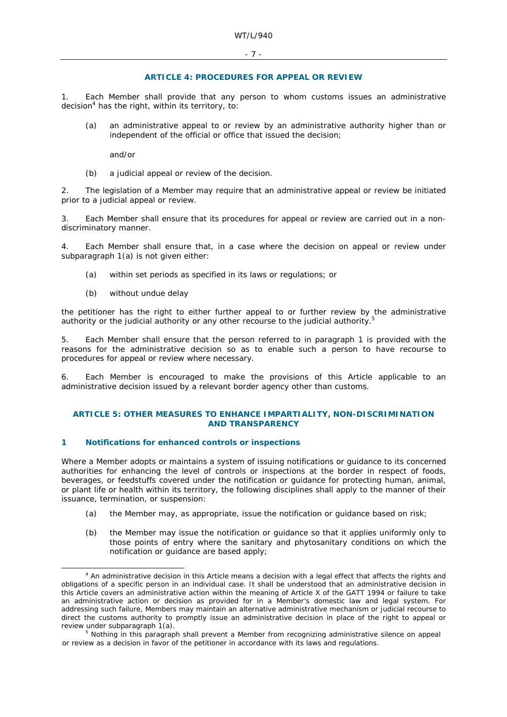#### - 7 -

## **ARTICLE 4: PROCEDURES FOR APPEAL OR REVIEW**

1. Each Member shall provide that any person to whom customs issues an administrative decision<sup>4</sup> has the right, within its territory, to:

(a) an administrative appeal to or review by an administrative authority higher than or independent of the official or office that issued the decision;

and/or

(b) a judicial appeal or review of the decision.

2. The legislation of a Member may require that an administrative appeal or review be initiated prior to a judicial appeal or review.

3. Each Member shall ensure that its procedures for appeal or review are carried out in a nondiscriminatory manner.

4. Each Member shall ensure that, in a case where the decision on appeal or review under subparagraph 1(a) is not given either:

- (a) within set periods as specified in its laws or regulations; or
- (b) without undue delay

the petitioner has the right to either further appeal to or further review by the administrative authority or the judicial authority or any other recourse to the judicial authority.<sup>5</sup>

5. Each Member shall ensure that the person referred to in paragraph 1 is provided with the reasons for the administrative decision so as to enable such a person to have recourse to procedures for appeal or review where necessary.

6. Each Member is encouraged to make the provisions of this Article applicable to an administrative decision issued by a relevant border agency other than customs.

# **ARTICLE 5: OTHER MEASURES TO ENHANCE IMPARTIALITY, NON-DISCRIMINATION AND TRANSPARENCY**

# **1 Notifications for enhanced controls or inspections**

Where a Member adopts or maintains a system of issuing notifications or guidance to its concerned authorities for enhancing the level of controls or inspections at the border in respect of foods, beverages, or feedstuffs covered under the notification or guidance for protecting human, animal, or plant life or health within its territory, the following disciplines shall apply to the manner of their issuance, termination, or suspension:

- (a) the Member may, as appropriate, issue the notification or guidance based on risk;
- (b) the Member may issue the notification or guidance so that it applies uniformly only to those points of entry where the sanitary and phytosanitary conditions on which the notification or guidance are based apply;

 $\frac{1}{4}$ <sup>4</sup> An administrative decision in this Article means a decision with a legal effect that affects the rights and obligations of a specific person in an individual case. It shall be understood that an administrative decision in this Article covers an administrative action within the meaning of Article X of the GATT 1994 or failure to take an administrative action or decision as provided for in a Member's domestic law and legal system. For addressing such failure, Members may maintain an alternative administrative mechanism or judicial recourse to direct the customs authority to promptly issue an administrative decision in place of the right to appeal or review under subparagraph 1(a).

<sup>&</sup>lt;sup>5</sup> Nothing in this paragraph shall prevent a Member from recognizing administrative silence on appeal or review as a decision in favor of the petitioner in accordance with its laws and regulations.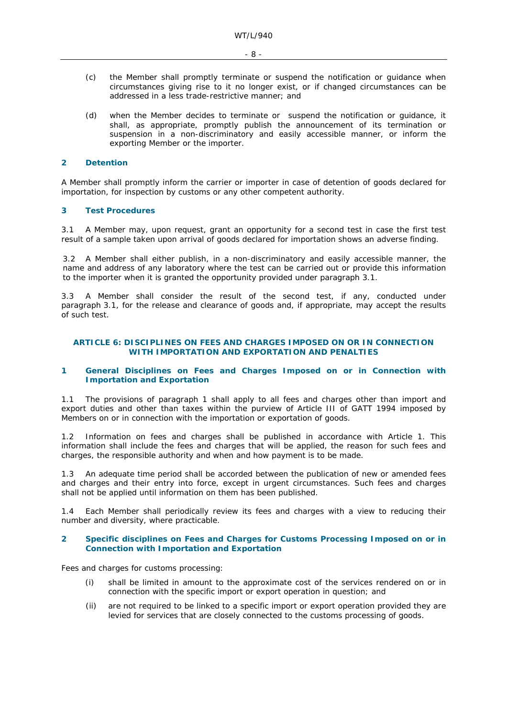- 8 -
- (c) the Member shall promptly terminate or suspend the notification or guidance when circumstances giving rise to it no longer exist, or if changed circumstances can be addressed in a less trade-restrictive manner; and
- (d) when the Member decides to terminate or suspend the notification or guidance, it shall, as appropriate, promptly publish the announcement of its termination or suspension in a non-discriminatory and easily accessible manner, or inform the exporting Member or the importer.

# **2 Detention**

A Member shall promptly inform the carrier or importer in case of detention of goods declared for importation, for inspection by customs or any other competent authority.

# **3 Test Procedures**

3.1 A Member may, upon request, grant an opportunity for a second test in case the first test result of a sample taken upon arrival of goods declared for importation shows an adverse finding.

3.2 A Member shall either publish, in a non-discriminatory and easily accessible manner, the name and address of any laboratory where the test can be carried out or provide this information to the importer when it is granted the opportunity provided under paragraph 3.1.

3.3 A Member shall consider the result of the second test, if any, conducted under paragraph 3.1, for the release and clearance of goods and, if appropriate, may accept the results of such test.

## **ARTICLE 6: DISCIPLINES ON FEES AND CHARGES IMPOSED ON OR IN CONNECTION WITH IMPORTATION AND EXPORTATION AND PENALTIES**

# **1 General Disciplines on Fees and Charges Imposed on or in Connection with Importation and Exportation**

1.1 The provisions of paragraph 1 shall apply to all fees and charges other than import and export duties and other than taxes within the purview of Article III of GATT 1994 imposed by Members on or in connection with the importation or exportation of goods.

1.2 Information on fees and charges shall be published in accordance with Article 1. This information shall include the fees and charges that will be applied, the reason for such fees and charges, the responsible authority and when and how payment is to be made.

1.3 An adequate time period shall be accorded between the publication of new or amended fees and charges and their entry into force, except in urgent circumstances. Such fees and charges shall not be applied until information on them has been published.

1.4 Each Member shall periodically review its fees and charges with a view to reducing their number and diversity, where practicable.

## **2 Specific disciplines on Fees and Charges for Customs Processing Imposed on or in Connection with Importation and Exportation**

Fees and charges for customs processing:

- (i) shall be limited in amount to the approximate cost of the services rendered on or in connection with the specific import or export operation in question; and
- (ii) are not required to be linked to a specific import or export operation provided they are levied for services that are closely connected to the customs processing of goods.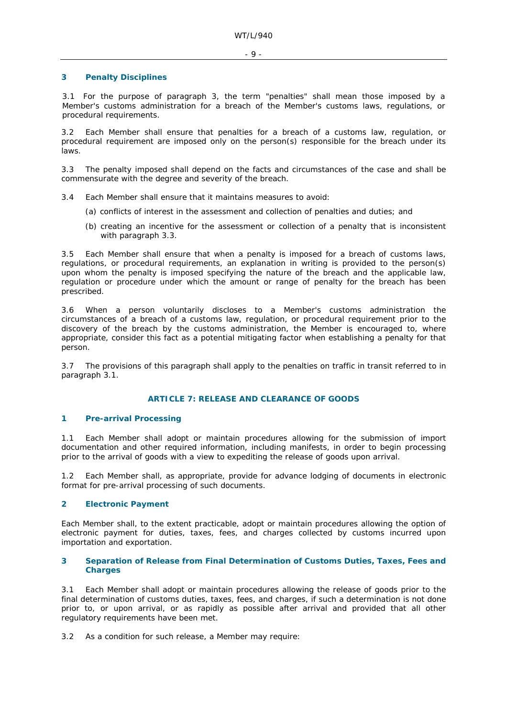## **3 Penalty Disciplines**

3.1 For the purpose of paragraph 3, the term "penalties" shall mean those imposed by a Member's customs administration for a breach of the Member's customs laws, regulations, or procedural requirements.

3.2 Each Member shall ensure that penalties for a breach of a customs law, regulation, or procedural requirement are imposed only on the person(s) responsible for the breach under its laws.

3.3 The penalty imposed shall depend on the facts and circumstances of the case and shall be commensurate with the degree and severity of the breach.

- 3.4 Each Member shall ensure that it maintains measures to avoid:
	- (a) conflicts of interest in the assessment and collection of penalties and duties; and
	- (b) creating an incentive for the assessment or collection of a penalty that is inconsistent with paragraph 3.3.

3.5 Each Member shall ensure that when a penalty is imposed for a breach of customs laws, regulations, or procedural requirements, an explanation in writing is provided to the person(s) upon whom the penalty is imposed specifying the nature of the breach and the applicable law, regulation or procedure under which the amount or range of penalty for the breach has been prescribed.

3.6 When a person voluntarily discloses to a Member's customs administration the circumstances of a breach of a customs law, regulation, or procedural requirement prior to the discovery of the breach by the customs administration, the Member is encouraged to, where appropriate, consider this fact as a potential mitigating factor when establishing a penalty for that person.

3.7 The provisions of this paragraph shall apply to the penalties on traffic in transit referred to in paragraph 3.1.

# **ARTICLE 7: RELEASE AND CLEARANCE OF GOODS**

#### **1 Pre-arrival Processing**

1.1 Each Member shall adopt or maintain procedures allowing for the submission of import documentation and other required information, including manifests, in order to begin processing prior to the arrival of goods with a view to expediting the release of goods upon arrival.

1.2 Each Member shall, as appropriate, provide for advance lodging of documents in electronic format for pre-arrival processing of such documents.

# **2 Electronic Payment**

Each Member shall, to the extent practicable, adopt or maintain procedures allowing the option of electronic payment for duties, taxes, fees, and charges collected by customs incurred upon importation and exportation.

## **3 Separation of Release from Final Determination of Customs Duties, Taxes, Fees and Charges**

3.1 Each Member shall adopt or maintain procedures allowing the release of goods prior to the final determination of customs duties, taxes, fees, and charges, if such a determination is not done prior to, or upon arrival, or as rapidly as possible after arrival and provided that all other regulatory requirements have been met.

3.2 As a condition for such release, a Member may require: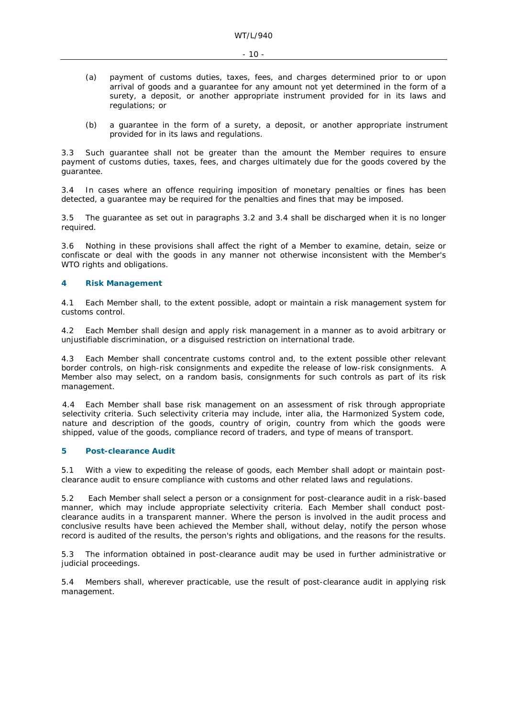- (a) payment of customs duties, taxes, fees, and charges determined prior to or upon arrival of goods and a guarantee for any amount not yet determined in the form of a surety, a deposit, or another appropriate instrument provided for in its laws and regulations; or
- (b) a guarantee in the form of a surety, a deposit, or another appropriate instrument provided for in its laws and regulations.

3.3 Such guarantee shall not be greater than the amount the Member requires to ensure payment of customs duties, taxes, fees, and charges ultimately due for the goods covered by the guarantee.

3.4 In cases where an offence requiring imposition of monetary penalties or fines has been detected, a guarantee may be required for the penalties and fines that may be imposed.

3.5 The guarantee as set out in paragraphs 3.2 and 3.4 shall be discharged when it is no longer required.

3.6 Nothing in these provisions shall affect the right of a Member to examine, detain, seize or confiscate or deal with the goods in any manner not otherwise inconsistent with the Member's WTO rights and obligations.

# **4 Risk Management**

4.1 Each Member shall, to the extent possible, adopt or maintain a risk management system for customs control.

4.2 Each Member shall design and apply risk management in a manner as to avoid arbitrary or unjustifiable discrimination, or a disguised restriction on international trade.

4.3 Each Member shall concentrate customs control and, to the extent possible other relevant border controls, on high-risk consignments and expedite the release of low-risk consignments. A Member also may select, on a random basis, consignments for such controls as part of its risk management.

4.4 Each Member shall base risk management on an assessment of risk through appropriate selectivity criteria. Such selectivity criteria may include, *inter alia,* the Harmonized System code, nature and description of the goods, country of origin, country from which the goods were shipped, value of the goods, compliance record of traders, and type of means of transport.

#### **5 Post-clearance Audit**

5.1 With a view to expediting the release of goods, each Member shall adopt or maintain postclearance audit to ensure compliance with customs and other related laws and regulations.

5.2 Each Member shall select a person or a consignment for post-clearance audit in a risk-based manner, which may include appropriate selectivity criteria. Each Member shall conduct postclearance audits in a transparent manner. Where the person is involved in the audit process and conclusive results have been achieved the Member shall, without delay, notify the person whose record is audited of the results, the person's rights and obligations, and the reasons for the results.

5.3 The information obtained in post-clearance audit may be used in further administrative or judicial proceedings.

5.4 Members shall, wherever practicable, use the result of post-clearance audit in applying risk management.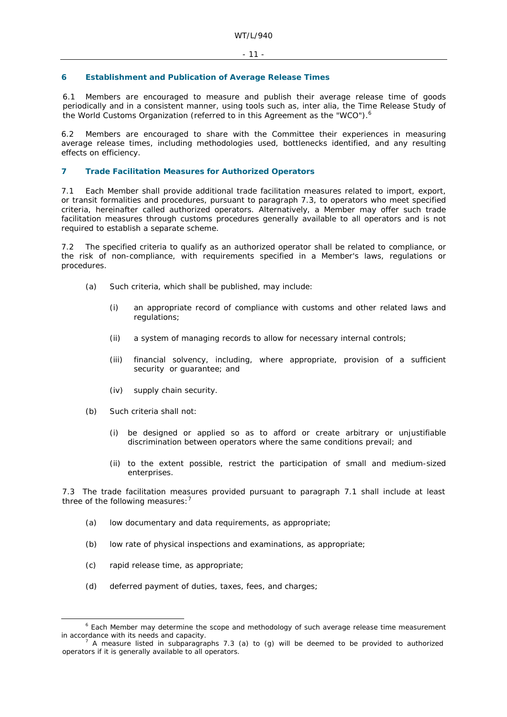## **6 Establishment and Publication of Average Release Times**

6.1 Members are encouraged to measure and publish their average release time of goods periodically and in a consistent manner, using tools such as, *inter alia*, the Time Release Study of the World Customs Organization (referred to in this Agreement as the "WCO").<sup>6</sup>

6.2 Members are encouraged to share with the Committee their experiences in measuring average release times, including methodologies used, bottlenecks identified, and any resulting effects on efficiency.

# **7 Trade Facilitation Measures for Authorized Operators**

7.1 Each Member shall provide additional trade facilitation measures related to import, export, or transit formalities and procedures, pursuant to paragraph 7.3, to operators who meet specified criteria, hereinafter called authorized operators. Alternatively, a Member may offer such trade facilitation measures through customs procedures generally available to all operators and is not required to establish a separate scheme.

7.2 The specified criteria to qualify as an authorized operator shall be related to compliance, or the risk of non-compliance, with requirements specified in a Member's laws, regulations or procedures.

- (a) Such criteria, which shall be published, may include:
	- (i) an appropriate record of compliance with customs and other related laws and regulations;
	- (ii) a system of managing records to allow for necessary internal controls;
	- (iii) financial solvency, including, where appropriate, provision of a sufficient security or guarantee; and
	- (iv) supply chain security.
- (b) Such criteria shall not:
	- (i) be designed or applied so as to afford or create arbitrary or unjustifiable discrimination between operators where the same conditions prevail; and
	- (ii) to the extent possible, restrict the participation of small and medium-sized enterprises.

7.3 The trade facilitation measures provided pursuant to paragraph 7.1 shall include at least three of the following measures: $7$ 

- (a) low documentary and data requirements, as appropriate;
- (b) low rate of physical inspections and examinations, as appropriate;
- (c) rapid release time, as appropriate;
- (d) deferred payment of duties, taxes, fees, and charges;

 $\overline{\phantom{0}}$ <sup>6</sup> Each Member may determine the scope and methodology of such average release time measurement in accordance with its needs and capacity.

 $^7$  A measure listed in subparagraphs 7.3 (a) to (g) will be deemed to be provided to authorized operators if it is generally available to all operators.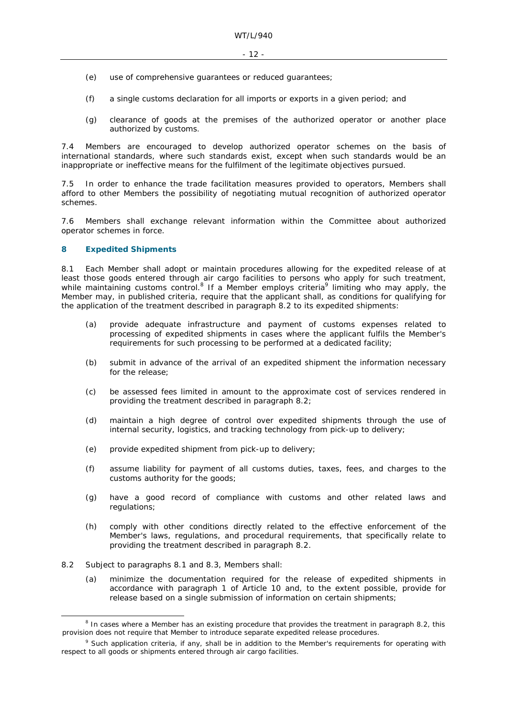- (e) use of comprehensive guarantees or reduced guarantees;
- (f) a single customs declaration for all imports or exports in a given period; and
- (g) clearance of goods at the premises of the authorized operator or another place authorized by customs.

7.4 Members are encouraged to develop authorized operator schemes on the basis of international standards, where such standards exist, except when such standards would be an inappropriate or ineffective means for the fulfilment of the legitimate objectives pursued.

7.5 In order to enhance the trade facilitation measures provided to operators, Members shall afford to other Members the possibility of negotiating mutual recognition of authorized operator schemes.

7.6 Members shall exchange relevant information within the Committee about authorized operator schemes in force.

## **8 Expedited Shipments**

8.1 Each Member shall adopt or maintain procedures allowing for the expedited release of at least those goods entered through air cargo facilities to persons who apply for such treatment, while maintaining customs control.<sup>8</sup> If a Member employs criteria<sup>9</sup> limiting who may apply, the Member may, in published criteria, require that the applicant shall, as conditions for qualifying for the application of the treatment described in paragraph 8.2 to its expedited shipments:

- (a) provide adequate infrastructure and payment of customs expenses related to processing of expedited shipments in cases where the applicant fulfils the Member's requirements for such processing to be performed at a dedicated facility;
- (b) submit in advance of the arrival of an expedited shipment the information necessary for the release;
- (c) be assessed fees limited in amount to the approximate cost of services rendered in providing the treatment described in paragraph 8.2;
- (d) maintain a high degree of control over expedited shipments through the use of internal security, logistics, and tracking technology from pick-up to delivery;
- (e) provide expedited shipment from pick-up to delivery;
- (f) assume liability for payment of all customs duties, taxes, fees, and charges to the customs authority for the goods;
- (g) have a good record of compliance with customs and other related laws and regulations;
- (h) comply with other conditions directly related to the effective enforcement of the Member's laws, regulations, and procedural requirements, that specifically relate to providing the treatment described in paragraph 8.2.
- 8.2 Subject to paragraphs 8.1 and 8.3, Members shall:
	- (a) minimize the documentation required for the release of expedited shipments in accordance with paragraph 1 of Article 10 and, to the extent possible, provide for release based on a single submission of information on certain shipments;

 <sup>8</sup> <sup>8</sup> In cases where a Member has an existing procedure that provides the treatment in paragraph 8.2, this provision does not require that Member to introduce separate expedited release procedures.

<sup>&</sup>lt;sup>9</sup> Such application criteria, if any, shall be in addition to the Member's requirements for operating with respect to all goods or shipments entered through air cargo facilities.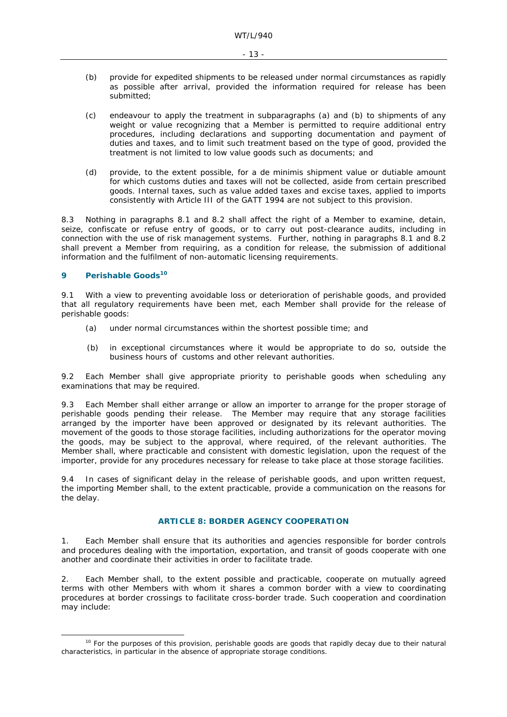- (b) provide for expedited shipments to be released under normal circumstances as rapidly as possible after arrival, provided the information required for release has been submitted;
- (c) endeavour to apply the treatment in subparagraphs (a) and (b) to shipments of any weight or value recognizing that a Member is permitted to require additional entry procedures, including declarations and supporting documentation and payment of duties and taxes, and to limit such treatment based on the type of good, provided the treatment is not limited to low value goods such as documents; and
- (d) provide, to the extent possible, for a *de minimis* shipment value or dutiable amount for which customs duties and taxes will not be collected, aside from certain prescribed goods. Internal taxes, such as value added taxes and excise taxes, applied to imports consistently with Article III of the GATT 1994 are not subject to this provision.

8.3 Nothing in paragraphs 8.1 and 8.2 shall affect the right of a Member to examine, detain, seize, confiscate or refuse entry of goods, or to carry out post-clearance audits, including in connection with the use of risk management systems. Further, nothing in paragraphs 8.1 and 8.2 shall prevent a Member from requiring, as a condition for release, the submission of additional information and the fulfilment of non-automatic licensing requirements.

# **9 Perishable Goods10**

9.1 With a view to preventing avoidable loss or deterioration of perishable goods, and provided that all regulatory requirements have been met, each Member shall provide for the release of perishable goods:

- (a) under normal circumstances within the shortest possible time; and
- (b) in exceptional circumstances where it would be appropriate to do so, outside the business hours of customs and other relevant authorities.

9.2 Each Member shall give appropriate priority to perishable goods when scheduling any examinations that may be required.

9.3 Each Member shall either arrange or allow an importer to arrange for the proper storage of perishable goods pending their release. The Member may require that any storage facilities arranged by the importer have been approved or designated by its relevant authorities. The movement of the goods to those storage facilities, including authorizations for the operator moving the goods, may be subject to the approval, where required, of the relevant authorities. The Member shall, where practicable and consistent with domestic legislation, upon the request of the importer, provide for any procedures necessary for release to take place at those storage facilities.

9.4 In cases of significant delay in the release of perishable goods, and upon written request, the importing Member shall, to the extent practicable, provide a communication on the reasons for the delay.

# **ARTICLE 8: BORDER AGENCY COOPERATION**

1. Each Member shall ensure that its authorities and agencies responsible for border controls and procedures dealing with the importation, exportation, and transit of goods cooperate with one another and coordinate their activities in order to facilitate trade.

2. Each Member shall, to the extent possible and practicable, cooperate on mutually agreed terms with other Members with whom it shares a common border with a view to coordinating procedures at border crossings to facilitate cross-border trade. Such cooperation and coordination may include:

<sup>&</sup>lt;sup>10</sup> For the purposes of this provision, perishable goods are goods that rapidly decay due to their natural characteristics, in particular in the absence of appropriate storage conditions.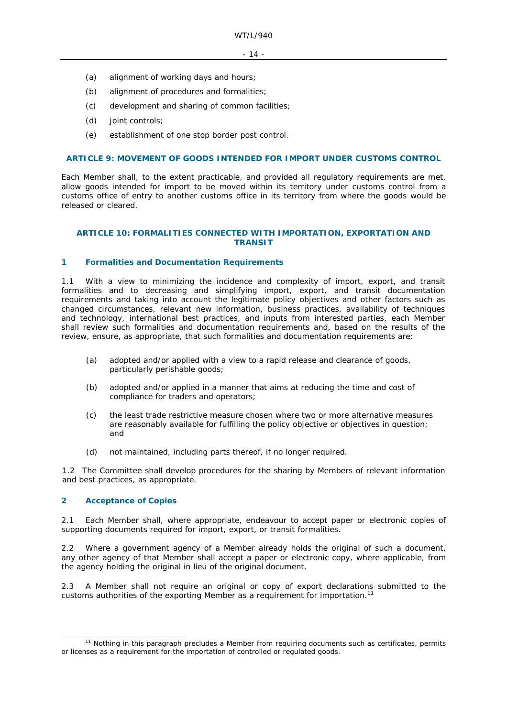WT/L/940

- (a) alignment of working days and hours;
- (b) alignment of procedures and formalities;
- (c) development and sharing of common facilities;
- (d) joint controls;
- (e) establishment of one stop border post control.

### **ARTICLE 9: MOVEMENT OF GOODS INTENDED FOR IMPORT UNDER CUSTOMS CONTROL**

Each Member shall, to the extent practicable, and provided all regulatory requirements are met, allow goods intended for import to be moved within its territory under customs control from a customs office of entry to another customs office in its territory from where the goods would be released or cleared.

## **ARTICLE 10: FORMALITIES CONNECTED WITH IMPORTATION, EXPORTATION AND TRANSIT**

#### **1 Formalities and Documentation Requirements**

1.1 With a view to minimizing the incidence and complexity of import, export, and transit formalities and to decreasing and simplifying import, export, and transit documentation requirements and taking into account the legitimate policy objectives and other factors such as changed circumstances, relevant new information, business practices, availability of techniques and technology, international best practices, and inputs from interested parties, each Member shall review such formalities and documentation requirements and, based on the results of the review, ensure, as appropriate, that such formalities and documentation requirements are:

- (a) adopted and/or applied with a view to a rapid release and clearance of goods, particularly perishable goods;
- (b) adopted and/or applied in a manner that aims at reducing the time and cost of compliance for traders and operators;
- (c) the least trade restrictive measure chosen where two or more alternative measures are reasonably available for fulfilling the policy objective or objectives in question; and
- (d) not maintained, including parts thereof, if no longer required.

1.2 The Committee shall develop procedures for the sharing by Members of relevant information and best practices, as appropriate.

# **2 Acceptance of Copies**

2.1 Each Member shall, where appropriate, endeavour to accept paper or electronic copies of supporting documents required for import, export, or transit formalities.

2.2 Where a government agency of a Member already holds the original of such a document, any other agency of that Member shall accept a paper or electronic copy, where applicable, from the agency holding the original in lieu of the original document.

2.3 A Member shall not require an original or copy of export declarations submitted to the customs authorities of the exporting Member as a requirement for importation.11

<sup>&</sup>lt;sup>11</sup> Nothing in this paragraph precludes a Member from requiring documents such as certificates, permits or licenses as a requirement for the importation of controlled or regulated goods.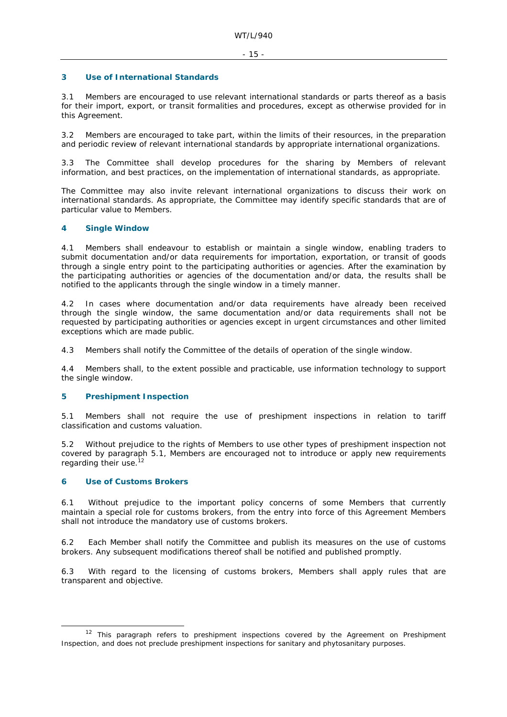# **3 Use of International Standards**

3.1 Members are encouraged to use relevant international standards or parts thereof as a basis for their import, export, or transit formalities and procedures, except as otherwise provided for in this Agreement.

3.2 Members are encouraged to take part, within the limits of their resources, in the preparation and periodic review of relevant international standards by appropriate international organizations.

3.3 The Committee shall develop procedures for the sharing by Members of relevant information, and best practices, on the implementation of international standards, as appropriate.

The Committee may also invite relevant international organizations to discuss their work on international standards. As appropriate, the Committee may identify specific standards that are of particular value to Members.

## **4 Single Window**

4.1 Members shall endeavour to establish or maintain a single window, enabling traders to submit documentation and/or data requirements for importation, exportation, or transit of goods through a single entry point to the participating authorities or agencies. After the examination by the participating authorities or agencies of the documentation and/or data, the results shall be notified to the applicants through the single window in a timely manner.

4.2 In cases where documentation and/or data requirements have already been received through the single window, the same documentation and/or data requirements shall not be requested by participating authorities or agencies except in urgent circumstances and other limited exceptions which are made public.

4.3 Members shall notify the Committee of the details of operation of the single window.

4.4 Members shall, to the extent possible and practicable, use information technology to support the single window.

## **5 Preshipment Inspection**

5.1 Members shall not require the use of preshipment inspections in relation to tariff classification and customs valuation.

5.2 Without prejudice to the rights of Members to use other types of preshipment inspection not covered by paragraph 5.1, Members are encouraged not to introduce or apply new requirements regarding their use.<sup>12</sup>

## **6 Use of Customs Brokers**

6.1 Without prejudice to the important policy concerns of some Members that currently maintain a special role for customs brokers, from the entry into force of this Agreement Members shall not introduce the mandatory use of customs brokers.

6.2 Each Member shall notify the Committee and publish its measures on the use of customs brokers. Any subsequent modifications thereof shall be notified and published promptly.

6.3 With regard to the licensing of customs brokers, Members shall apply rules that are transparent and objective.

 $12$  This paragraph refers to preshipment inspections covered by the Agreement on Preshipment Inspection, and does not preclude preshipment inspections for sanitary and phytosanitary purposes.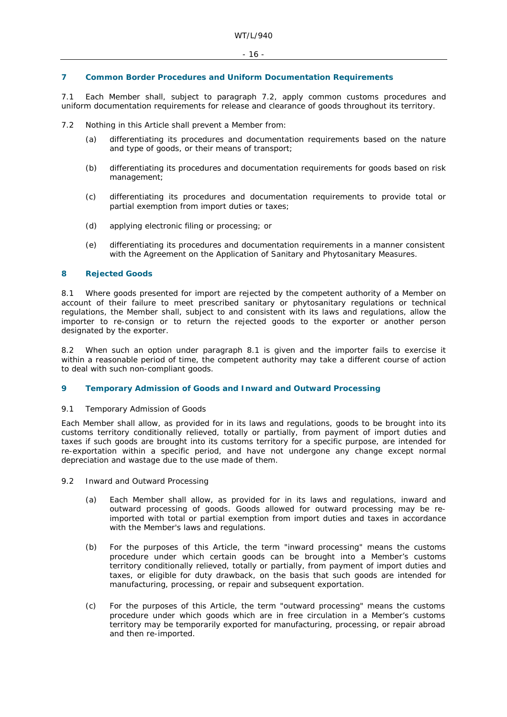# **7 Common Border Procedures and Uniform Documentation Requirements**

7.1 Each Member shall, subject to paragraph 7.2, apply common customs procedures and uniform documentation requirements for release and clearance of goods throughout its territory.

- 7.2 Nothing in this Article shall prevent a Member from:
	- (a) differentiating its procedures and documentation requirements based on the nature and type of goods, or their means of transport;
	- (b) differentiating its procedures and documentation requirements for goods based on risk management;
	- (c) differentiating its procedures and documentation requirements to provide total or partial exemption from import duties or taxes;
	- (d) applying electronic filing or processing; or
	- (e) differentiating its procedures and documentation requirements in a manner consistent with the Agreement on the Application of Sanitary and Phytosanitary Measures.

## **8 Rejected Goods**

8.1 Where goods presented for import are rejected by the competent authority of a Member on account of their failure to meet prescribed sanitary or phytosanitary regulations or technical regulations, the Member shall, subject to and consistent with its laws and regulations, allow the importer to re-consign or to return the rejected goods to the exporter or another person designated by the exporter.

8.2 When such an option under paragraph 8.1 is given and the importer fails to exercise it within a reasonable period of time, the competent authority may take a different course of action to deal with such non-compliant goods.

### **9 Temporary Admission of Goods and Inward and Outward Processing**

#### 9.1 Temporary Admission of Goods

Each Member shall allow, as provided for in its laws and regulations, goods to be brought into its customs territory conditionally relieved, totally or partially, from payment of import duties and taxes if such goods are brought into its customs territory for a specific purpose, are intended for re-exportation within a specific period, and have not undergone any change except normal depreciation and wastage due to the use made of them.

- 9.2 Inward and Outward Processing
	- (a) Each Member shall allow, as provided for in its laws and regulations, inward and outward processing of goods. Goods allowed for outward processing may be reimported with total or partial exemption from import duties and taxes in accordance with the Member's laws and regulations.
	- (b) For the purposes of this Article, the term "inward processing" means the customs procedure under which certain goods can be brought into a Member's customs territory conditionally relieved, totally or partially, from payment of import duties and taxes, or eligible for duty drawback, on the basis that such goods are intended for manufacturing, processing, or repair and subsequent exportation.
	- (c) For the purposes of this Article, the term "outward processing" means the customs procedure under which goods which are in free circulation in a Member's customs territory may be temporarily exported for manufacturing, processing, or repair abroad and then re-imported.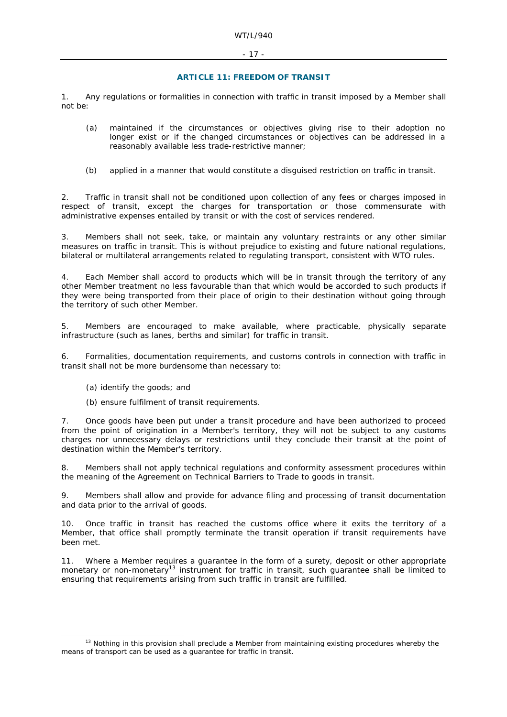## **ARTICLE 11: FREEDOM OF TRANSIT**

1. Any regulations or formalities in connection with traffic in transit imposed by a Member shall not be:

- (a) maintained if the circumstances or objectives giving rise to their adoption no longer exist or if the changed circumstances or objectives can be addressed in a reasonably available less trade-restrictive manner;
- (b) applied in a manner that would constitute a disguised restriction on traffic in transit.

2. Traffic in transit shall not be conditioned upon collection of any fees or charges imposed in respect of transit, except the charges for transportation or those commensurate with administrative expenses entailed by transit or with the cost of services rendered.

3. Members shall not seek, take, or maintain any voluntary restraints or any other similar measures on traffic in transit. This is without prejudice to existing and future national regulations, bilateral or multilateral arrangements related to regulating transport, consistent with WTO rules.

4. Each Member shall accord to products which will be in transit through the territory of any other Member treatment no less favourable than that which would be accorded to such products if they were being transported from their place of origin to their destination without going through the territory of such other Member.

5. Members are encouraged to make available, where practicable, physically separate infrastructure (such as lanes, berths and similar) for traffic in transit.

6. Formalities, documentation requirements, and customs controls in connection with traffic in transit shall not be more burdensome than necessary to:

- (a) identify the goods; and
- (b) ensure fulfilment of transit requirements.

7. Once goods have been put under a transit procedure and have been authorized to proceed from the point of origination in a Member's territory, they will not be subject to any customs charges nor unnecessary delays or restrictions until they conclude their transit at the point of destination within the Member's territory.

8. Members shall not apply technical regulations and conformity assessment procedures within the meaning of the Agreement on Technical Barriers to Trade to goods in transit.

9. Members shall allow and provide for advance filing and processing of transit documentation and data prior to the arrival of goods.

10. Once traffic in transit has reached the customs office where it exits the territory of a Member, that office shall promptly terminate the transit operation if transit requirements have been met.

11. Where a Member requires a guarantee in the form of a surety, deposit or other appropriate monetary or non-monetary<sup>13</sup> instrument for traffic in transit, such guarantee shall be limited to ensuring that requirements arising from such traffic in transit are fulfilled.

<sup>&</sup>lt;sup>13</sup> Nothing in this provision shall preclude a Member from maintaining existing procedures whereby the means of transport can be used as a guarantee for traffic in transit.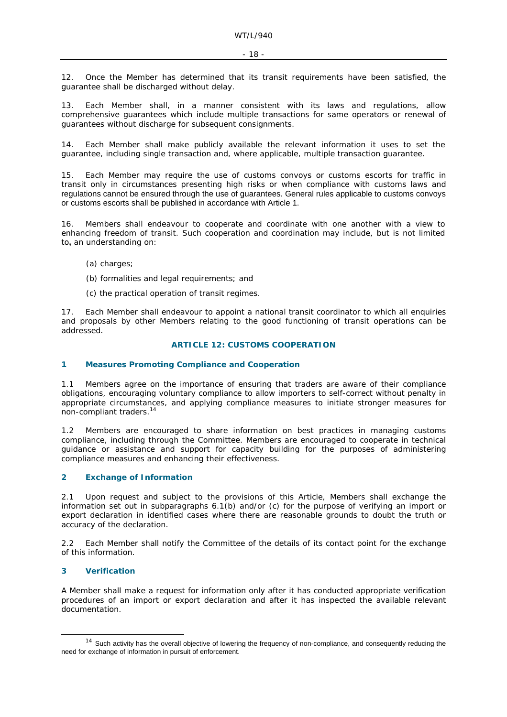12. Once the Member has determined that its transit requirements have been satisfied, the guarantee shall be discharged without delay.

Each Member shall, in a manner consistent with its laws and regulations, allow comprehensive guarantees which include multiple transactions for same operators or renewal of guarantees without discharge for subsequent consignments.

14. Each Member shall make publicly available the relevant information it uses to set the guarantee, including single transaction and, where applicable, multiple transaction guarantee.

15. Each Member may require the use of customs convoys or customs escorts for traffic in transit only in circumstances presenting high risks or when compliance with customs laws and regulations cannot be ensured through the use of guarantees. General rules applicable to customs convoys or customs escorts shall be published in accordance with Article 1.

16. Members shall endeavour to cooperate and coordinate with one another with a view to enhancing freedom of transit. Such cooperation and coordination may include, but is not limited to**,** an understanding on:

- (a) charges;
- (b) formalities and legal requirements; and
- (c) the practical operation of transit regimes.

17. Each Member shall endeavour to appoint a national transit coordinator to which all enquiries and proposals by other Members relating to the good functioning of transit operations can be addressed.

# **ARTICLE 12: CUSTOMS COOPERATION**

# **1 Measures Promoting Compliance and Cooperation**

1.1 Members agree on the importance of ensuring that traders are aware of their compliance obligations, encouraging voluntary compliance to allow importers to self-correct without penalty in appropriate circumstances, and applying compliance measures to initiate stronger measures for non-compliant traders.14

1.2 Members are encouraged to share information on best practices in managing customs compliance, including through the Committee. Members are encouraged to cooperate in technical guidance or assistance and support for capacity building for the purposes of administering compliance measures and enhancing their effectiveness.

# **2 Exchange of Information**

2.1 Upon request and subject to the provisions of this Article, Members shall exchange the information set out in subparagraphs 6.1(b) and/or (c) for the purpose of verifying an import or export declaration in identified cases where there are reasonable grounds to doubt the truth or accuracy of the declaration.

2.2 Each Member shall notify the Committee of the details of its contact point for the exchange of this information.

# **3 Verification**

A Member shall make a request for information only after it has conducted appropriate verification procedures of an import or export declaration and after it has inspected the available relevant documentation.

<sup>&</sup>lt;sup>14</sup> Such activity has the overall objective of lowering the frequency of non-compliance, and consequently reducing the need for exchange of information in pursuit of enforcement.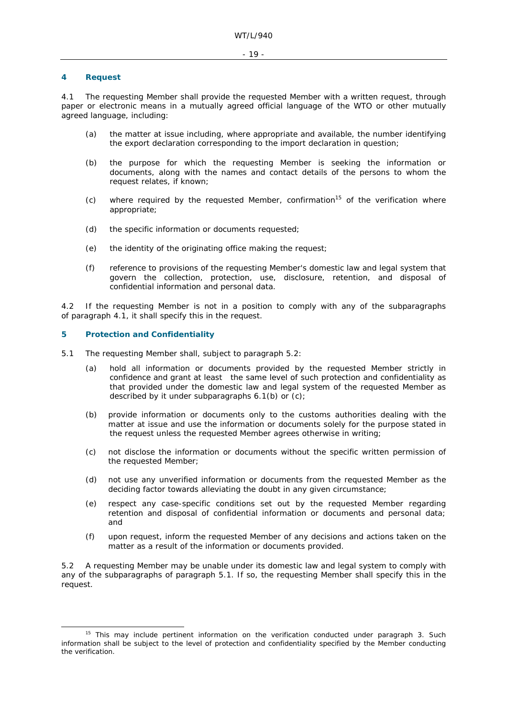#### **4 Request**

4.1 The requesting Member shall provide the requested Member with a written request, through paper or electronic means in a mutually agreed official language of the WTO or other mutually agreed language, including:

- (a) the matter at issue including, where appropriate and available, the number identifying the export declaration corresponding to the import declaration in question;
- (b) the purpose for which the requesting Member is seeking the information or documents, along with the names and contact details of the persons to whom the request relates, if known;
- (c) where required by the requested Member, confirmation<sup>15</sup> of the verification where appropriate;
- (d) the specific information or documents requested;
- (e) the identity of the originating office making the request;
- (f) reference to provisions of the requesting Member's domestic law and legal system that govern the collection, protection, use, disclosure, retention, and disposal of confidential information and personal data.

4.2 If the requesting Member is not in a position to comply with any of the subparagraphs of paragraph 4.1, it shall specify this in the request.

#### **5 Protection and Confidentiality**

- 5.1 The requesting Member shall, subject to paragraph 5.2:
	- (a) hold all information or documents provided by the requested Member strictly in confidence and grant at least the same level of such protection and confidentiality as that provided under the domestic law and legal system of the requested Member as described by it under subparagraphs 6.1(b) or  $(c)$ ;
	- (b) provide information or documents only to the customs authorities dealing with the matter at issue and use the information or documents solely for the purpose stated in the request unless the requested Member agrees otherwise in writing;
	- (c) not disclose the information or documents without the specific written permission of the requested Member;
	- (d) not use any unverified information or documents from the requested Member as the deciding factor towards alleviating the doubt in any given circumstance;
	- (e) respect any case-specific conditions set out by the requested Member regarding retention and disposal of confidential information or documents and personal data; and
	- (f) upon request, inform the requested Member of any decisions and actions taken on the matter as a result of the information or documents provided.

5.2 A requesting Member may be unable under its domestic law and legal system to comply with any of the subparagraphs of paragraph 5.1. If so, the requesting Member shall specify this in the request.

<sup>&</sup>lt;sup>15</sup> This may include pertinent information on the verification conducted under paragraph 3. Such information shall be subject to the level of protection and confidentiality specified by the Member conducting the verification.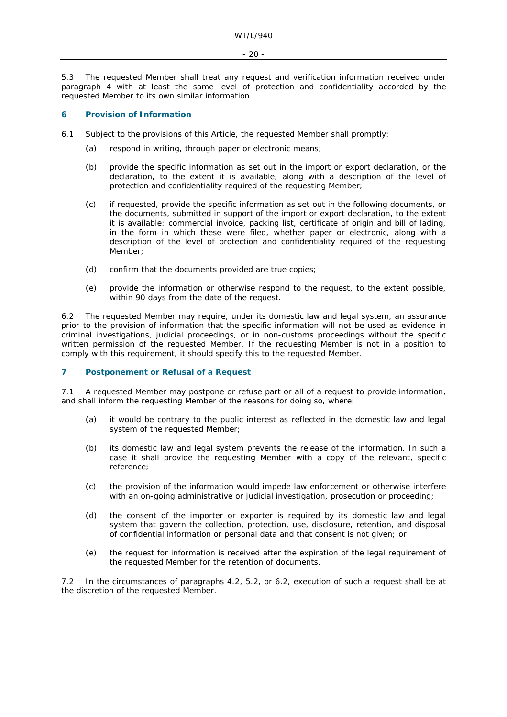5.3 The requested Member shall treat any request and verification information received under paragraph 4 with at least the same level of protection and confidentiality accorded by the requested Member to its own similar information.

# **6 Provision of Information**

- 6.1 Subject to the provisions of this Article, the requested Member shall promptly:
	- (a) respond in writing, through paper or electronic means;
	- (b) provide the specific information as set out in the import or export declaration, or the declaration, to the extent it is available, along with a description of the level of protection and confidentiality required of the requesting Member;
	- (c) if requested, provide the specific information as set out in the following documents, or the documents, submitted in support of the import or export declaration, to the extent it is available: commercial invoice, packing list, certificate of origin and bill of lading, in the form in which these were filed, whether paper or electronic, along with a description of the level of protection and confidentiality required of the requesting Member;
	- (d) confirm that the documents provided are true copies;
	- (e) provide the information or otherwise respond to the request, to the extent possible, within 90 days from the date of the request.

6.2 The requested Member may require, under its domestic law and legal system, an assurance prior to the provision of information that the specific information will not be used as evidence in criminal investigations, judicial proceedings, or in non-customs proceedings without the specific written permission of the requested Member. If the requesting Member is not in a position to comply with this requirement, it should specify this to the requested Member.

# **7 Postponement or Refusal of a Request**

7.1 A requested Member may postpone or refuse part or all of a request to provide information, and shall inform the requesting Member of the reasons for doing so, where:

- (a) it would be contrary to the public interest as reflected in the domestic law and legal system of the requested Member;
- (b) its domestic law and legal system prevents the release of the information. In such a case it shall provide the requesting Member with a copy of the relevant, specific reference;
- (c) the provision of the information would impede law enforcement or otherwise interfere with an on-going administrative or judicial investigation, prosecution or proceeding;
- (d) the consent of the importer or exporter is required by its domestic law and legal system that govern the collection, protection, use, disclosure, retention, and disposal of confidential information or personal data and that consent is not given; or
- (e) the request for information is received after the expiration of the legal requirement of the requested Member for the retention of documents.

7.2 In the circumstances of paragraphs 4.2, 5.2, or 6.2, execution of such a request shall be at the discretion of the requested Member.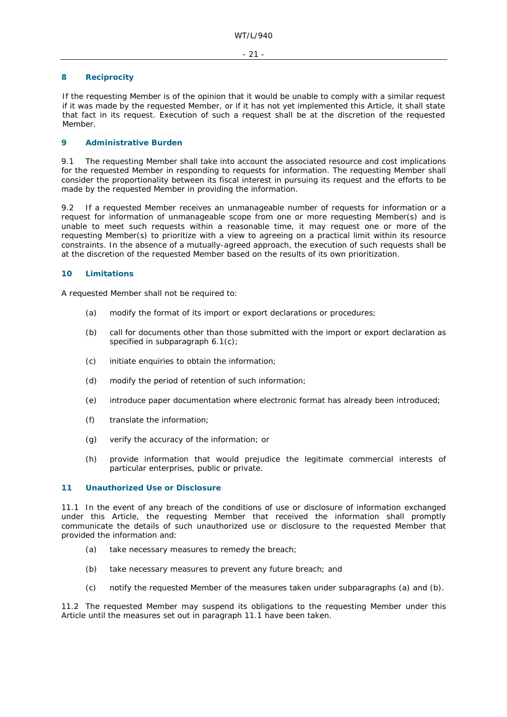# **8 Reciprocity**

If the requesting Member is of the opinion that it would be unable to comply with a similar request if it was made by the requested Member, or if it has not yet implemented this Article, it shall state that fact in its request. Execution of such a request shall be at the discretion of the requested Member.

# **9 Administrative Burden**

9.1 The requesting Member shall take into account the associated resource and cost implications for the requested Member in responding to requests for information. The requesting Member shall consider the proportionality between its fiscal interest in pursuing its request and the efforts to be made by the requested Member in providing the information.

9.2 If a requested Member receives an unmanageable number of requests for information or a request for information of unmanageable scope from one or more requesting Member(s) and is unable to meet such requests within a reasonable time, it may request one or more of the requesting Member(s) to prioritize with a view to agreeing on a practical limit within its resource constraints. In the absence of a mutually-agreed approach, the execution of such requests shall be at the discretion of the requested Member based on the results of its own prioritization.

# **10 Limitations**

A requested Member shall not be required to:

- (a) modify the format of its import or export declarations or procedures;
- (b) call for documents other than those submitted with the import or export declaration as specified in subparagraph 6.1(c);
- (c) initiate enquiries to obtain the information;
- (d) modify the period of retention of such information;
- (e) introduce paper documentation where electronic format has already been introduced;
- (f) translate the information;
- (g) verify the accuracy of the information; or
- (h) provide information that would prejudice the legitimate commercial interests of particular enterprises, public or private.

#### **11 Unauthorized Use or Disclosure**

11.1 In the event of any breach of the conditions of use or disclosure of information exchanged under this Article, the requesting Member that received the information shall promptly communicate the details of such unauthorized use or disclosure to the requested Member that provided the information and:

- (a) take necessary measures to remedy the breach;
- (b) take necessary measures to prevent any future breach; and
- (c) notify the requested Member of the measures taken under subparagraphs (a) and (b).

11.2 The requested Member may suspend its obligations to the requesting Member under this Article until the measures set out in paragraph 11.1 have been taken.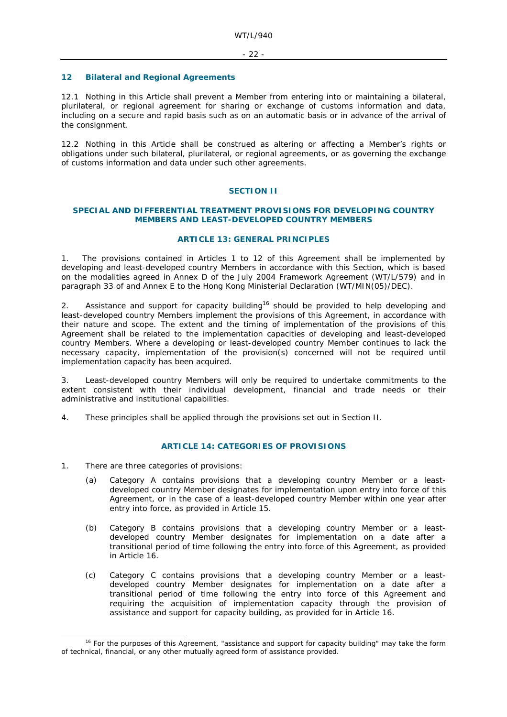#### **12 Bilateral and Regional Agreements**

12.1 Nothing in this Article shall prevent a Member from entering into or maintaining a bilateral, plurilateral, or regional agreement for sharing or exchange of customs information and data, including on a secure and rapid basis such as on an automatic basis or in advance of the arrival of the consignment.

12.2 Nothing in this Article shall be construed as altering or affecting a Member's rights or obligations under such bilateral, plurilateral, or regional agreements, or as governing the exchange of customs information and data under such other agreements.

## **SECTION II**

# **SPECIAL AND DIFFERENTIAL TREATMENT PROVISIONS FOR DEVELOPING COUNTRY MEMBERS AND LEAST-DEVELOPED COUNTRY MEMBERS**

# **ARTICLE 13: GENERAL PRINCIPLES**

1. The provisions contained in Articles 1 to 12 of this Agreement shall be implemented by developing and least-developed country Members in accordance with this Section, which is based on the modalities agreed in Annex D of the July 2004 Framework Agreement (WT/L/579) and in paragraph 33 of and Annex E to the Hong Kong Ministerial Declaration (WT/MIN(05)/DEC).

2. Assistance and support for capacity building<sup>16</sup> should be provided to help developing and least-developed country Members implement the provisions of this Agreement, in accordance with their nature and scope. The extent and the timing of implementation of the provisions of this Agreement shall be related to the implementation capacities of developing and least-developed country Members. Where a developing or least-developed country Member continues to lack the necessary capacity, implementation of the provision(s) concerned will not be required until implementation capacity has been acquired.

3. Least-developed country Members will only be required to undertake commitments to the extent consistent with their individual development, financial and trade needs or their administrative and institutional capabilities.

4. These principles shall be applied through the provisions set out in Section II.

## **ARTICLE 14: CATEGORIES OF PROVISIONS**

- 1. There are three categories of provisions:
	- (a) Category A contains provisions that a developing country Member or a leastdeveloped country Member designates for implementation upon entry into force of this Agreement, or in the case of a least-developed country Member within one year after entry into force, as provided in Article 15.
	- (b) Category B contains provisions that a developing country Member or a leastdeveloped country Member designates for implementation on a date after a transitional period of time following the entry into force of this Agreement, as provided in Article 16.
	- (c) Category C contains provisions that a developing country Member or a leastdeveloped country Member designates for implementation on a date after a transitional period of time following the entry into force of this Agreement and requiring the acquisition of implementation capacity through the provision of assistance and support for capacity building, as provided for in Article 16.

<sup>&</sup>lt;sup>16</sup> For the purposes of this Agreement, "assistance and support for capacity building" may take the form of technical, financial, or any other mutually agreed form of assistance provided.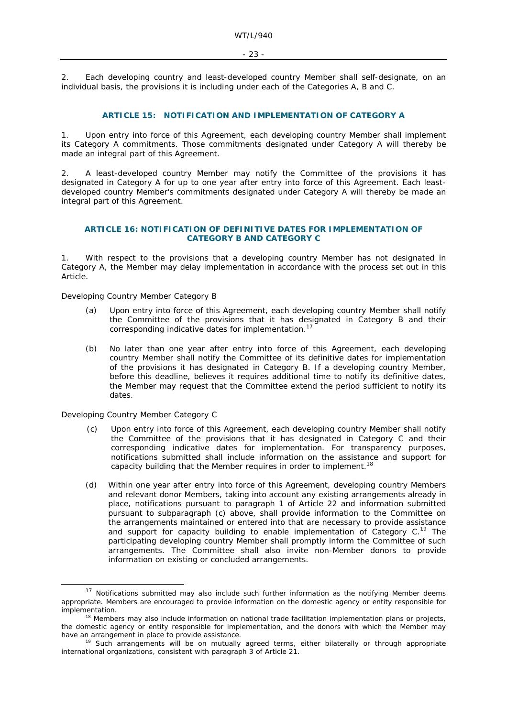2. Each developing country and least-developed country Member shall self-designate, on an individual basis, the provisions it is including under each of the Categories A, B and C.

### **ARTICLE 15: NOTIFICATION AND IMPLEMENTATION OF CATEGORY A**

1. Upon entry into force of this Agreement, each developing country Member shall implement its Category A commitments. Those commitments designated under Category A will thereby be made an integral part of this Agreement.

2. A least-developed country Member may notify the Committee of the provisions it has designated in Category A for up to one year after entry into force of this Agreement. Each leastdeveloped country Member's commitments designated under Category A will thereby be made an integral part of this Agreement.

#### **ARTICLE 16: NOTIFICATION OF DEFINITIVE DATES FOR IMPLEMENTATION OF CATEGORY B AND CATEGORY C**

With respect to the provisions that a developing country Member has not designated in Category A, the Member may delay implementation in accordance with the process set out in this Article.

Developing Country Member Category B

- (a) Upon entry into force of this Agreement, each developing country Member shall notify the Committee of the provisions that it has designated in Category B and their corresponding indicative dates for implementation.<sup>17</sup>
- (b) No later than one year after entry into force of this Agreement, each developing country Member shall notify the Committee of its definitive dates for implementation of the provisions it has designated in Category B. If a developing country Member, before this deadline, believes it requires additional time to notify its definitive dates, the Member may request that the Committee extend the period sufficient to notify its dates.

Developing Country Member Category C

- (c) Upon entry into force of this Agreement, each developing country Member shall notify the Committee of the provisions that it has designated in Category C and their corresponding indicative dates for implementation. For transparency purposes, notifications submitted shall include information on the assistance and support for capacity building that the Member requires in order to implement.<sup>18</sup>
- (d) Within one year after entry into force of this Agreement, developing country Members and relevant donor Members, taking into account any existing arrangements already in place, notifications pursuant to paragraph 1 of Article 22 and information submitted pursuant to subparagraph (c) above, shall provide information to the Committee on the arrangements maintained or entered into that are necessary to provide assistance and support for capacity building to enable implementation of Category  $C<sup>19</sup>$  The participating developing country Member shall promptly inform the Committee of such arrangements. The Committee shall also invite non-Member donors to provide information on existing or concluded arrangements.

 $17$  Notifications submitted may also include such further information as the notifying Member deems appropriate. Members are encouraged to provide information on the domestic agency or entity responsible for implementation.<br><sup>18</sup> Members may also include information on national trade facilitation implementation plans or projects,

the domestic agency or entity responsible for implementation, and the donors with which the Member may have an arrangement in place to provide assistance.<br><sup>19</sup> Such arrangements will be on mutually agreed terms, either bilaterally or through appropriate

international organizations, consistent with paragraph 3 of Article 21.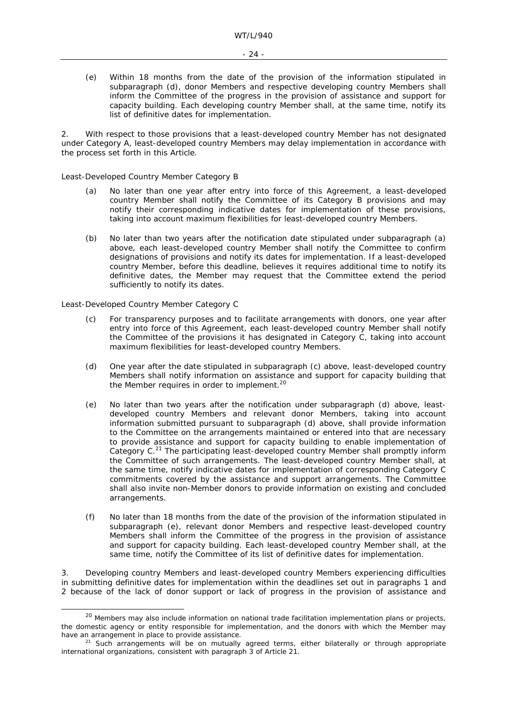(e) Within 18 months from the date of the provision of the information stipulated in subparagraph (d), donor Members and respective developing country Members shall inform the Committee of the progress in the provision of assistance and support for capacity building. Each developing country Member shall, at the same time, notify its list of definitive dates for implementation.

2. With respect to those provisions that a least-developed country Member has not designated under Category A, least-developed country Members may delay implementation in accordance with the process set forth in this Article.

Least-Developed Country Member Category B

- (a) No later than one year after entry into force of this Agreement, a least-developed country Member shall notify the Committee of its Category B provisions and may notify their corresponding indicative dates for implementation of these provisions, taking into account maximum flexibilities for least-developed country Members.
- (b) No later than two years after the notification date stipulated under subparagraph (a) above, each least-developed country Member shall notify the Committee to confirm designations of provisions and notify its dates for implementation. If a least-developed country Member, before this deadline, believes it requires additional time to notify its definitive dates, the Member may request that the Committee extend the period sufficiently to notify its dates.

Least-Developed Country Member Category C

- (c) For transparency purposes and to facilitate arrangements with donors, one year after entry into force of this Agreement, each least-developed country Member shall notify the Committee of the provisions it has designated in Category C, taking into account maximum flexibilities for least-developed country Members.
- (d) One year after the date stipulated in subparagraph (c) above, least-developed country Members shall notify information on assistance and support for capacity building that the Member requires in order to implement.<sup>20</sup>
- (e) No later than two years after the notification under subparagraph (d) above, leastdeveloped country Members and relevant donor Members, taking into account information submitted pursuant to subparagraph (d) above, shall provide information to the Committee on the arrangements maintained or entered into that are necessary to provide assistance and support for capacity building to enable implementation of Category C.21 The participating least-developed country Member shall promptly inform the Committee of such arrangements. The least-developed country Member shall, at the same time, notify indicative dates for implementation of corresponding Category C commitments covered by the assistance and support arrangements. The Committee shall also invite non-Member donors to provide information on existing and concluded arrangements.
- (f) No later than 18 months from the date of the provision of the information stipulated in subparagraph (e), relevant donor Members and respective least-developed country Members shall inform the Committee of the progress in the provision of assistance and support for capacity building. Each least-developed country Member shall, at the same time, notify the Committee of its list of definitive dates for implementation.

3. Developing country Members and least-developed country Members experiencing difficulties in submitting definitive dates for implementation within the deadlines set out in paragraphs 1 and 2 because of the lack of donor support or lack of progress in the provision of assistance and

<sup>&</sup>lt;sup>20</sup> Members may also include information on national trade facilitation implementation plans or projects, the domestic agency or entity responsible for implementation, and the donors with which the Member may have an arrangement in place to provide assistance.<br><sup>21</sup> Such arrangements will be on mutually agreed terms, either bilaterally or through appropriate

international organizations, consistent with paragraph 3 of Article 21.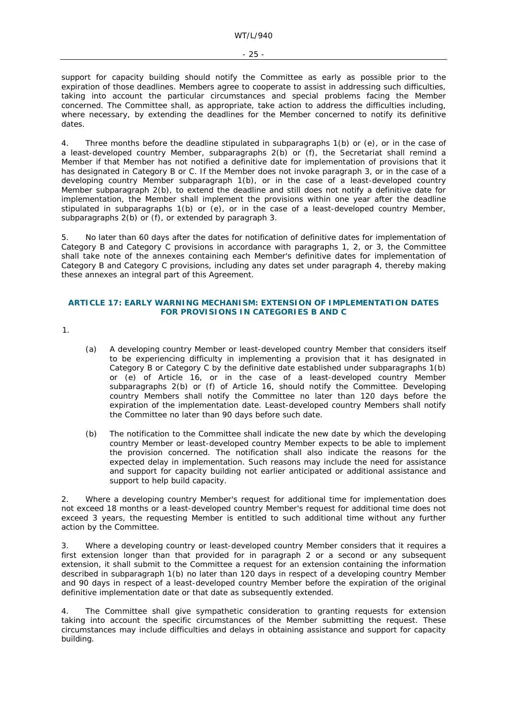support for capacity building should notify the Committee as early as possible prior to the expiration of those deadlines. Members agree to cooperate to assist in addressing such difficulties, taking into account the particular circumstances and special problems facing the Member concerned. The Committee shall, as appropriate, take action to address the difficulties including, where necessary, by extending the deadlines for the Member concerned to notify its definitive dates.

4. Three months before the deadline stipulated in subparagraphs 1(b) or (e), or in the case of a least-developed country Member, subparagraphs  $2(b)$  or  $(f)$ , the Secretariat shall remind a Member if that Member has not notified a definitive date for implementation of provisions that it has designated in Category B or C. If the Member does not invoke paragraph 3, or in the case of a developing country Member subparagraph 1(b), or in the case of a least-developed country Member subparagraph 2(b), to extend the deadline and still does not notify a definitive date for implementation, the Member shall implement the provisions within one year after the deadline stipulated in subparagraphs 1(b) or (e), or in the case of a least-developed country Member, subparagraphs 2(b) or (f), or extended by paragraph 3.

5. No later than 60 days after the dates for notification of definitive dates for implementation of Category B and Category C provisions in accordance with paragraphs 1, 2, or 3, the Committee shall take note of the annexes containing each Member's definitive dates for implementation of Category B and Category C provisions, including any dates set under paragraph 4, thereby making these annexes an integral part of this Agreement.

# **ARTICLE 17: EARLY WARNING MECHANISM: EXTENSION OF IMPLEMENTATION DATES FOR PROVISIONS IN CATEGORIES B AND C**

1.

- (a) A developing country Member or least-developed country Member that considers itself to be experiencing difficulty in implementing a provision that it has designated in Category B or Category C by the definitive date established under subparagraphs 1(b) or (e) of Article 16, or in the case of a least-developed country Member subparagraphs 2(b) or (f) of Article 16, should notify the Committee. Developing country Members shall notify the Committee no later than 120 days before the expiration of the implementation date. Least-developed country Members shall notify the Committee no later than 90 days before such date.
- (b) The notification to the Committee shall indicate the new date by which the developing country Member or least-developed country Member expects to be able to implement the provision concerned. The notification shall also indicate the reasons for the expected delay in implementation. Such reasons may include the need for assistance and support for capacity building not earlier anticipated or additional assistance and support to help build capacity.

2. Where a developing country Member's request for additional time for implementation does not exceed 18 months or a least-developed country Member's request for additional time does not exceed 3 years, the requesting Member is entitled to such additional time without any further action by the Committee.

3. Where a developing country or least-developed country Member considers that it requires a first extension longer than that provided for in paragraph 2 or a second or any subsequent extension, it shall submit to the Committee a request for an extension containing the information described in subparagraph 1(b) no later than 120 days in respect of a developing country Member and 90 days in respect of a least-developed country Member before the expiration of the original definitive implementation date or that date as subsequently extended.

The Committee shall give sympathetic consideration to granting requests for extension taking into account the specific circumstances of the Member submitting the request. These circumstances may include difficulties and delays in obtaining assistance and support for capacity building.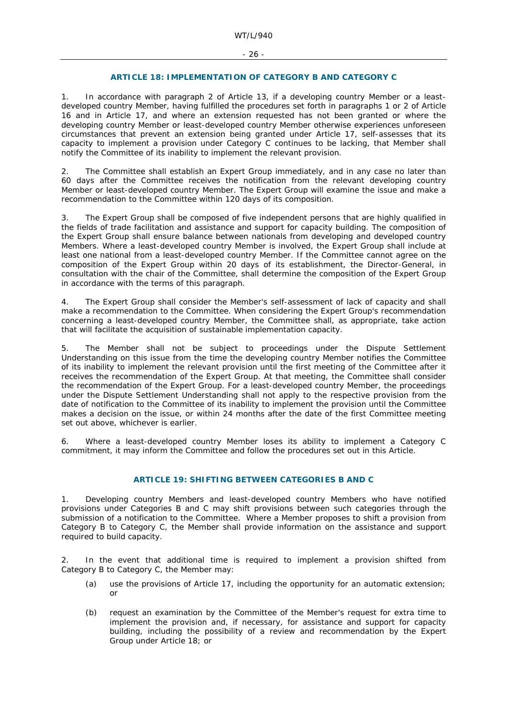## **ARTICLE 18: IMPLEMENTATION OF CATEGORY B AND CATEGORY C**

1. In accordance with paragraph 2 of Article 13, if a developing country Member or a leastdeveloped country Member, having fulfilled the procedures set forth in paragraphs 1 or 2 of Article 16 and in Article 17, and where an extension requested has not been granted or where the developing country Member or least-developed country Member otherwise experiences unforeseen circumstances that prevent an extension being granted under Article 17, self-assesses that its capacity to implement a provision under Category C continues to be lacking, that Member shall notify the Committee of its inability to implement the relevant provision.

2. The Committee shall establish an Expert Group immediately, and in any case no later than 60 days after the Committee receives the notification from the relevant developing country Member or least-developed country Member. The Expert Group will examine the issue and make a recommendation to the Committee within 120 days of its composition.

3. The Expert Group shall be composed of five independent persons that are highly qualified in the fields of trade facilitation and assistance and support for capacity building. The composition of the Expert Group shall ensure balance between nationals from developing and developed country Members. Where a least-developed country Member is involved, the Expert Group shall include at least one national from a least-developed country Member. If the Committee cannot agree on the composition of the Expert Group within 20 days of its establishment, the Director-General, in consultation with the chair of the Committee, shall determine the composition of the Expert Group in accordance with the terms of this paragraph.

4. The Expert Group shall consider the Member's self-assessment of lack of capacity and shall make a recommendation to the Committee. When considering the Expert Group's recommendation concerning a least-developed country Member, the Committee shall, as appropriate, take action that will facilitate the acquisition of sustainable implementation capacity.

5. The Member shall not be subject to proceedings under the Dispute Settlement Understanding on this issue from the time the developing country Member notifies the Committee of its inability to implement the relevant provision until the first meeting of the Committee after it receives the recommendation of the Expert Group. At that meeting, the Committee shall consider the recommendation of the Expert Group. For a least-developed country Member, the proceedings under the Dispute Settlement Understanding shall not apply to the respective provision from the date of notification to the Committee of its inability to implement the provision until the Committee makes a decision on the issue, or within 24 months after the date of the first Committee meeting set out above, whichever is earlier.

6. Where a least-developed country Member loses its ability to implement a Category C commitment, it may inform the Committee and follow the procedures set out in this Article.

# **ARTICLE 19: SHIFTING BETWEEN CATEGORIES B AND C**

1. Developing country Members and least-developed country Members who have notified provisions under Categories B and C may shift provisions between such categories through the submission of a notification to the Committee. Where a Member proposes to shift a provision from Category B to Category C, the Member shall provide information on the assistance and support required to build capacity.

2. In the event that additional time is required to implement a provision shifted from Category B to Category C, the Member may:

- (a) use the provisions of Article 17, including the opportunity for an automatic extension; or
- (b)request an examination by the Committee of the Member's request for extra time to implement the provision and, if necessary, for assistance and support for capacity building, including the possibility of a review and recommendation by the Expert Group under Article 18; or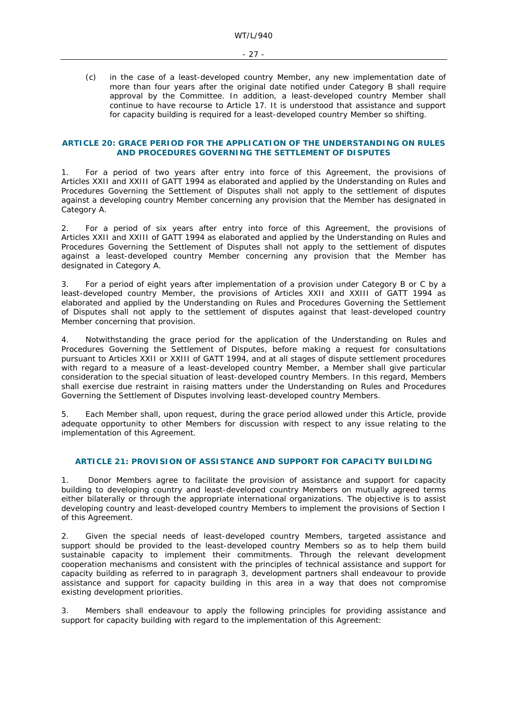(c) in the case of a least-developed country Member, any new implementation date of more than four years after the original date notified under Category B shall require approval by the Committee. In addition, a least-developed country Member shall continue to have recourse to Article 17. It is understood that assistance and support for capacity building is required for a least-developed country Member so shifting.

### **ARTICLE 20: GRACE PERIOD FOR THE APPLICATION OF THE UNDERSTANDING ON RULES AND PROCEDURES GOVERNING THE SETTLEMENT OF DISPUTES**

1. For a period of two years after entry into force of this Agreement, the provisions of Articles XXII and XXIII of GATT 1994 as elaborated and applied by the Understanding on Rules and Procedures Governing the Settlement of Disputes shall not apply to the settlement of disputes against a developing country Member concerning any provision that the Member has designated in Category A.

2. For a period of six years after entry into force of this Agreement, the provisions of Articles XXII and XXIII of GATT 1994 as elaborated and applied by the Understanding on Rules and Procedures Governing the Settlement of Disputes shall not apply to the settlement of disputes against a least-developed country Member concerning any provision that the Member has designated in Category A.

3. For a period of eight years after implementation of a provision under Category B or C by a least-developed country Member, the provisions of Articles XXII and XXIII of GATT 1994 as elaborated and applied by the Understanding on Rules and Procedures Governing the Settlement of Disputes shall not apply to the settlement of disputes against that least-developed country Member concerning that provision.

4. Notwithstanding the grace period for the application of the Understanding on Rules and Procedures Governing the Settlement of Disputes, before making a request for consultations pursuant to Articles XXII or XXIII of GATT 1994, and at all stages of dispute settlement procedures with regard to a measure of a least-developed country Member, a Member shall give particular consideration to the special situation of least-developed country Members. In this regard, Members shall exercise due restraint in raising matters under the Understanding on Rules and Procedures Governing the Settlement of Disputes involving least-developed country Members.

5. Each Member shall, upon request, during the grace period allowed under this Article, provide adequate opportunity to other Members for discussion with respect to any issue relating to the implementation of this Agreement.

# **ARTICLE 21: PROVISION OF ASSISTANCE AND SUPPORT FOR CAPACITY BUILDING**

1. Donor Members agree to facilitate the provision of assistance and support for capacity building to developing country and least-developed country Members on mutually agreed terms either bilaterally or through the appropriate international organizations. The objective is to assist developing country and least-developed country Members to implement the provisions of Section I of this Agreement.

2. Given the special needs of least-developed country Members, targeted assistance and support should be provided to the least-developed country Members so as to help them build sustainable capacity to implement their commitments. Through the relevant development cooperation mechanisms and consistent with the principles of technical assistance and support for capacity building as referred to in paragraph 3, development partners shall endeavour to provide assistance and support for capacity building in this area in a way that does not compromise existing development priorities.

3. Members shall endeavour to apply the following principles for providing assistance and support for capacity building with regard to the implementation of this Agreement: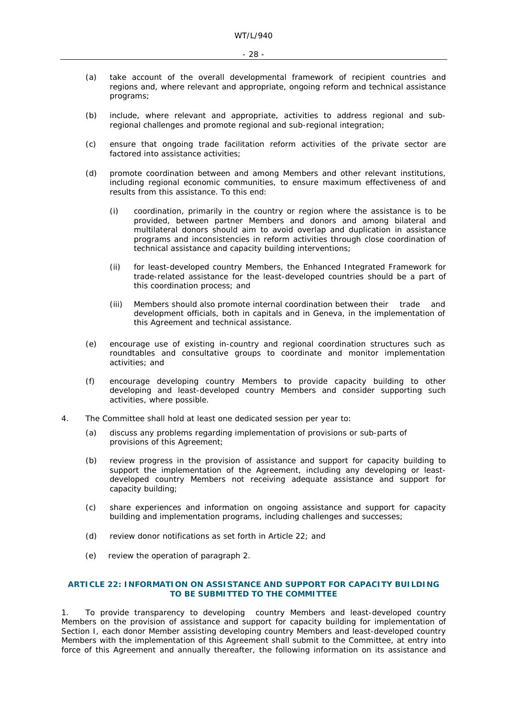- (a) take account of the overall developmental framework of recipient countries and regions and, where relevant and appropriate, ongoing reform and technical assistance programs;
- (b) include, where relevant and appropriate, activities to address regional and subregional challenges and promote regional and sub-regional integration;
- (c) ensure that ongoing trade facilitation reform activities of the private sector are factored into assistance activities;
- (d) promote coordination between and among Members and other relevant institutions, including regional economic communities, to ensure maximum effectiveness of and results from this assistance. To this end:
	- (i) coordination, primarily in the country or region where the assistance is to be provided, between partner Members and donors and among bilateral and multilateral donors should aim to avoid overlap and duplication in assistance programs and inconsistencies in reform activities through close coordination of technical assistance and capacity building interventions;
	- (ii) for least-developed country Members, the Enhanced Integrated Framework for trade-related assistance for the least-developed countries should be a part of this coordination process; and
	- (iii) Members should also promote internal coordination between their trade and development officials, both in capitals and in Geneva, in the implementation of this Agreement and technical assistance.
- (e) encourage use of existing in-country and regional coordination structures such as roundtables and consultative groups to coordinate and monitor implementation activities; and
- (f) encourage developing country Members to provide capacity building to other developing and least-developed country Members and consider supporting such activities, where possible.
- 4. The Committee shall hold at least one dedicated session per year to:
	- (a) discuss any problems regarding implementation of provisions or sub-parts of provisions of this Agreement;
	- (b) review progress in the provision of assistance and support for capacity building to support the implementation of the Agreement, including any developing or leastdeveloped country Members not receiving adequate assistance and support for capacity building;
	- (c) share experiences and information on ongoing assistance and support for capacity building and implementation programs, including challenges and successes;
	- (d) review donor notifications as set forth in Article 22; and
	- (e) review the operation of paragraph 2.

### **ARTICLE 22: INFORMATION ON ASSISTANCE AND SUPPORT FOR CAPACITY BUILDING TO BE SUBMITTED TO THE COMMITTEE**

1. To provide transparency to developing country Members and least-developed country Members on the provision of assistance and support for capacity building for implementation of Section I, each donor Member assisting developing country Members and least-developed country Members with the implementation of this Agreement shall submit to the Committee, at entry into force of this Agreement and annually thereafter, the following information on its assistance and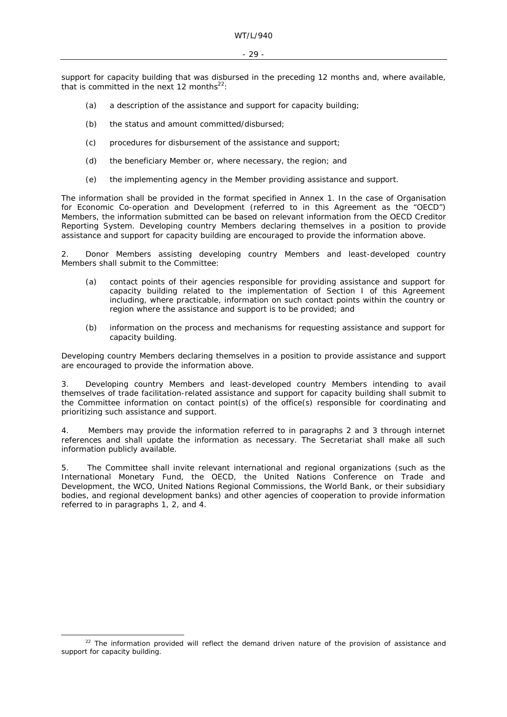support for capacity building that was disbursed in the preceding 12 months and, where available, that is committed in the next 12 months $^{22}$ :

- (a) a description of the assistance and support for capacity building;
- (b) the status and amount committed/disbursed;
- (c) procedures for disbursement of the assistance and support;
- (d) the beneficiary Member or, where necessary, the region; and
- (e) the implementing agency in the Member providing assistance and support.

The information shall be provided in the format specified in Annex 1. In the case of Organisation for Economic Co-operation and Development (referred to in this Agreement as the "OECD") Members, the information submitted can be based on relevant information from the OECD Creditor Reporting System. Developing country Members declaring themselves in a position to provide assistance and support for capacity building are encouraged to provide the information above.

2. Donor Members assisting developing country Members and least-developed country Members shall submit to the Committee:

- (a) contact points of their agencies responsible for providing assistance and support for capacity building related to the implementation of Section I of this Agreement including, where practicable, information on such contact points within the country or region where the assistance and support is to be provided; and
- (b) information on the process and mechanisms for requesting assistance and support for capacity building.

Developing country Members declaring themselves in a position to provide assistance and support are encouraged to provide the information above.

3. Developing country Members and least-developed country Members intending to avail themselves of trade facilitation-related assistance and support for capacity building shall submit to the Committee information on contact point(s) of the office(s) responsible for coordinating and prioritizing such assistance and support.

4. Members may provide the information referred to in paragraphs 2 and 3 through internet references and shall update the information as necessary. The Secretariat shall make all such information publicly available.

5. The Committee shall invite relevant international and regional organizations (such as the International Monetary Fund, the OECD, the United Nations Conference on Trade and Development, the WCO, United Nations Regional Commissions, the World Bank, or their subsidiary bodies, and regional development banks) and other agencies of cooperation to provide information referred to in paragraphs 1, 2, and 4.

 $22$  The information provided will reflect the demand driven nature of the provision of assistance and support for capacity building.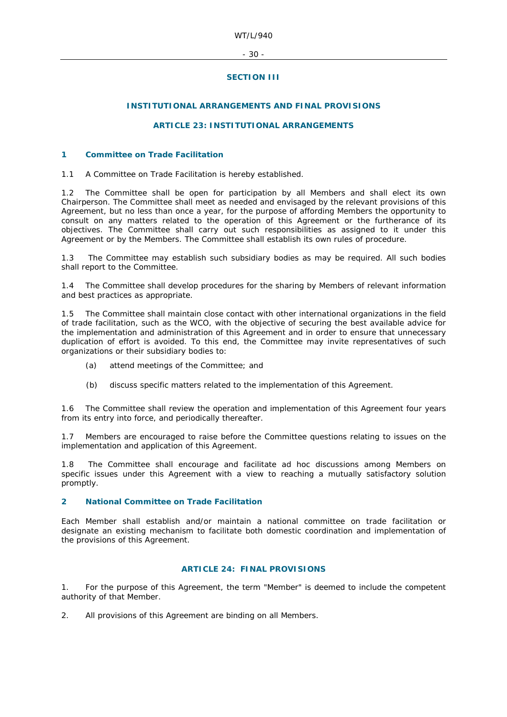WT/L/940

## - 30 -

# **SECTION III**

# **INSTITUTIONAL ARRANGEMENTS AND FINAL PROVISIONS**

# **ARTICLE 23: INSTITUTIONAL ARRANGEMENTS**

# **1 Committee on Trade Facilitation**

1.1 A Committee on Trade Facilitation is hereby established.

1.2 The Committee shall be open for participation by all Members and shall elect its own Chairperson. The Committee shall meet as needed and envisaged by the relevant provisions of this Agreement, but no less than once a year, for the purpose of affording Members the opportunity to consult on any matters related to the operation of this Agreement or the furtherance of its objectives. The Committee shall carry out such responsibilities as assigned to it under this Agreement or by the Members. The Committee shall establish its own rules of procedure.

1.3 The Committee may establish such subsidiary bodies as may be required. All such bodies shall report to the Committee.

1.4 The Committee shall develop procedures for the sharing by Members of relevant information and best practices as appropriate.

1.5 The Committee shall maintain close contact with other international organizations in the field of trade facilitation, such as the WCO, with the objective of securing the best available advice for the implementation and administration of this Agreement and in order to ensure that unnecessary duplication of effort is avoided. To this end, the Committee may invite representatives of such organizations or their subsidiary bodies to:

- (a) attend meetings of the Committee; and
- (b) discuss specific matters related to the implementation of this Agreement.

1.6 The Committee shall review the operation and implementation of this Agreement four years from its entry into force, and periodically thereafter.

1.7 Members are encouraged to raise before the Committee questions relating to issues on the implementation and application of this Agreement.

1.8 The Committee shall encourage and facilitate ad hoc discussions among Members on specific issues under this Agreement with a view to reaching a mutually satisfactory solution promptly.

# **2 National Committee on Trade Facilitation**

Each Member shall establish and/or maintain a national committee on trade facilitation or designate an existing mechanism to facilitate both domestic coordination and implementation of the provisions of this Agreement.

# **ARTICLE 24: FINAL PROVISIONS**

1. For the purpose of this Agreement, the term "Member" is deemed to include the competent authority of that Member.

2. All provisions of this Agreement are binding on all Members.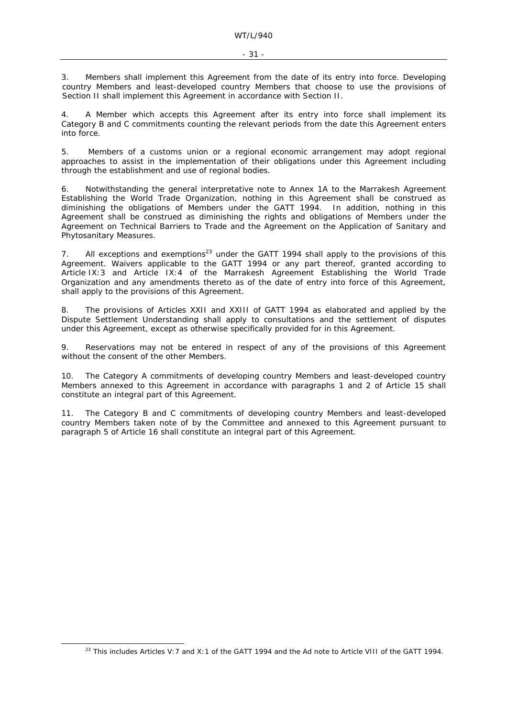3. Members shall implement this Agreement from the date of its entry into force. Developing country Members and least-developed country Members that choose to use the provisions of Section II shall implement this Agreement in accordance with Section II.

4. A Member which accepts this Agreement after its entry into force shall implement its Category B and C commitments counting the relevant periods from the date this Agreement enters into force.

5. Members of a customs union or a regional economic arrangement may adopt regional approaches to assist in the implementation of their obligations under this Agreement including through the establishment and use of regional bodies.

6. Notwithstanding the general interpretative note to Annex 1A to the Marrakesh Agreement Establishing the World Trade Organization, nothing in this Agreement shall be construed as diminishing the obligations of Members under the GATT 1994. In addition, nothing in this Agreement shall be construed as diminishing the rights and obligations of Members under the Agreement on Technical Barriers to Trade and the Agreement on the Application of Sanitary and Phytosanitary Measures.

7. All exceptions and exemptions<sup>23</sup> under the GATT 1994 shall apply to the provisions of this Agreement. Waivers applicable to the GATT 1994 or any part thereof, granted according to Article IX:3 and Article IX:4 of the Marrakesh Agreement Establishing the World Trade Organization and any amendments thereto as of the date of entry into force of this Agreement, shall apply to the provisions of this Agreement.

8. The provisions of Articles XXII and XXIII of GATT 1994 as elaborated and applied by the Dispute Settlement Understanding shall apply to consultations and the settlement of disputes under this Agreement, except as otherwise specifically provided for in this Agreement.

9. Reservations may not be entered in respect of any of the provisions of this Agreement without the consent of the other Members.

10. The Category A commitments of developing country Members and least-developed country Members annexed to this Agreement in accordance with paragraphs 1 and 2 of Article 15 shall constitute an integral part of this Agreement.

The Category B and C commitments of developing country Members and least-developed country Members taken note of by the Committee and annexed to this Agreement pursuant to paragraph 5 of Article 16 shall constitute an integral part of this Agreement.

 $23$  This includes Articles V:7 and X:1 of the GATT 1994 and the Ad note to Article VIII of the GATT 1994.